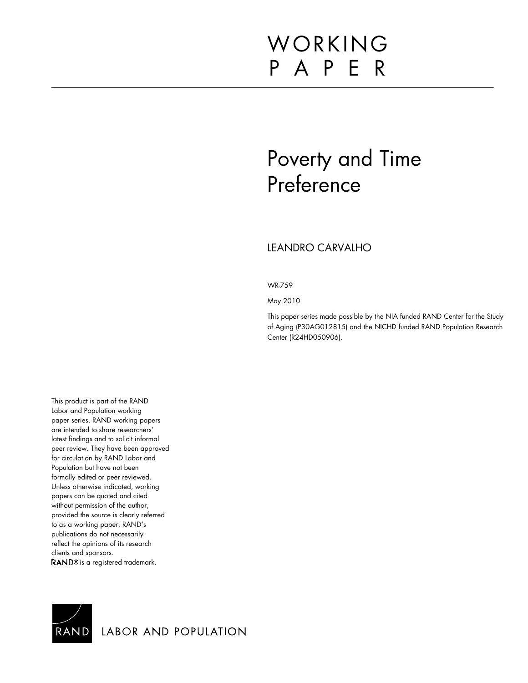# WORKING P A P E R

# Poverty and Time Preference

## LEANDRO CARVALHO

WR-759

May 2010

This paper series made possible by the NIA funded RAND Center for the Study of Aging (P30AG012815) and the NICHD funded RAND Population Research Center (R24HD050906).

This product is part of the RAND Labor and Population working paper series. RAND working papers are intended to share researchers' latest findings and to solicit informal peer review. They have been approved for circulation by RAND Labor and Population but have not been formally edited or peer reviewed. Unless otherwise indicated, working papers can be quoted and cited without permission of the author, provided the source is clearly referred to as a working paper. RAND's publications do not necessarily reflect the opinions of its research clients and sponsors. RAND<sup>®</sup> is a registered trademark.



LABOR AND POPULATION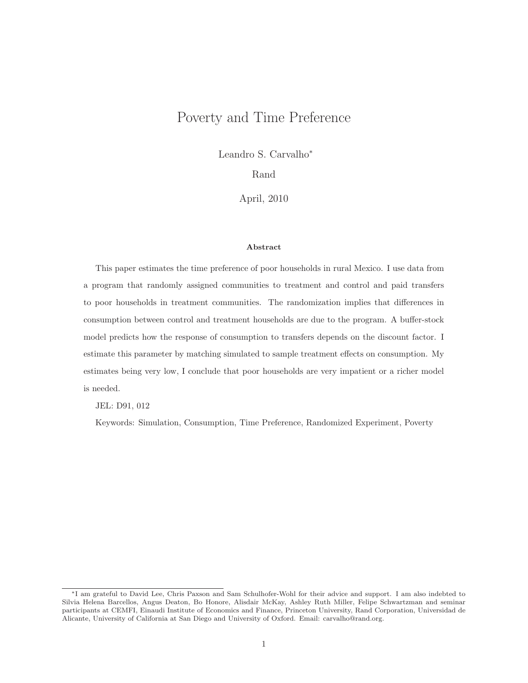## Poverty and Time Preference

Leandro S. Carvalho<sup>∗</sup>

Rand

April, 2010

#### **Abstract**

This paper estimates the time preference of poor households in rural Mexico. I use data from a program that randomly assigned communities to treatment and control and paid transfers to poor households in treatment communities. The randomization implies that differences in consumption between control and treatment households are due to the program. A buffer-stock model predicts how the response of consumption to transfers depends on the discount factor. I estimate this parameter by matching simulated to sample treatment effects on consumption. My estimates being very low, I conclude that poor households are very impatient or a richer model is needed.

JEL: D91, 012

Keywords: Simulation, Consumption, Time Preference, Randomized Experiment, Poverty

<sup>∗</sup>I am grateful to David Lee, Chris Paxson and Sam Schulhofer-Wohl for their advice and support. I am also indebted to Silvia Helena Barcellos, Angus Deaton, Bo Honore, Alisdair McKay, Ashley Ruth Miller, Felipe Schwartzman and seminar participants at CEMFI, Einaudi Institute of Economics and Finance, Princeton University, Rand Corporation, Universidad de Alicante, University of California at San Diego and University of Oxford. Email: [carvalho@rand.org.](mailto:carvalho@rand.org)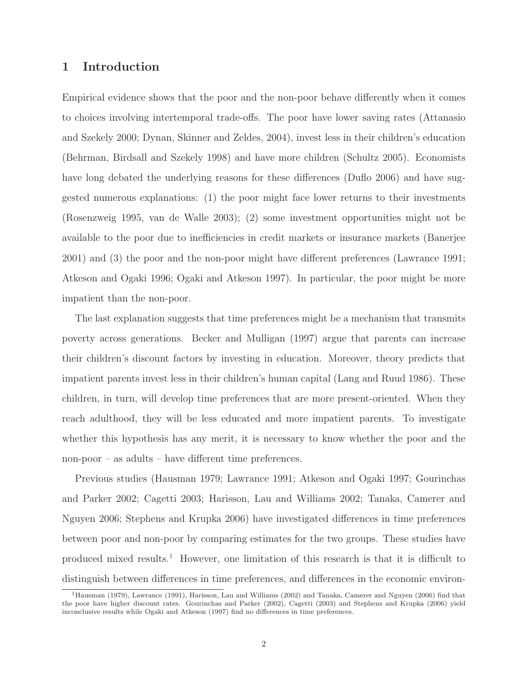## **1 Introduction**

Empirical evidence shows that the poor and the non-poor behave differently when it comes to choices involving intertemporal trade-offs. The poor have lower saving rates (Attanasio and Szekely 2000; Dynan, Skinner and Zeldes, 2004), invest less in their children's education (Behrman, Birdsall and Szekely 1998) and have more children (Schultz 2005). Economists have long debated the underlying reasons for these differences (Duflo 2006) and have suggested numerous explanations: (1) the poor might face lower returns to their investments (Rosenzweig 1995, van de Walle 2003); (2) some investment opportunities might not be available to the poor due to inefficiencies in credit markets or insurance markets (Banerjee 2001) and (3) the poor and the non-poor might have different preferences (Lawrance 1991; Atkeson and Ogaki 1996; Ogaki and Atkeson 1997). In particular, the poor might be more impatient than the non-poor.

The last explanation suggests that time preferences might be a mechanism that transmits poverty across generations. Becker and Mulligan (1997) argue that parents can increase their children's discount factors by investing in education. Moreover, theory predicts that impatient parents invest less in their children's human capital (Lang and Ruud 1986). These children, in turn, will develop time preferences that are more present-oriented. When they reach adulthood, they will be less educated and more impatient parents. To investigate whether this hypothesis has any merit, it is necessary to know whether the poor and the non-poor – as adults – have different time preferences.

Previous studies (Hausman 1979; Lawrance 1991; Atkeson and Ogaki 1997; Gourinchas and Parker 2002; Cagetti 2003; Harisson, Lau and Williams 2002; Tanaka, Camerer and Nguyen 2006; Stephens and Krupka 2006) have investigated differences in time preferences between poor and non-poor by comparing estimates for the two groups. These studies have produced mixed results.<sup>1</sup> However, one limitation of this research is that it is difficult to distinguish between differences in time preferences, and differences in the economic environ-

<sup>1</sup>Hausman (1979), Lawrance (1991), Harisson, Lau and Williams (2002) and Tanaka, Camerer and Nguyen (2006) find that the poor have higher discount rates. Gourinchas and Parker (2002), Cagetti (2003) and Stephens and Krupka (2006) yield inconclusive results while Ogaki and Atkeson (1997) find no differences in time preferences.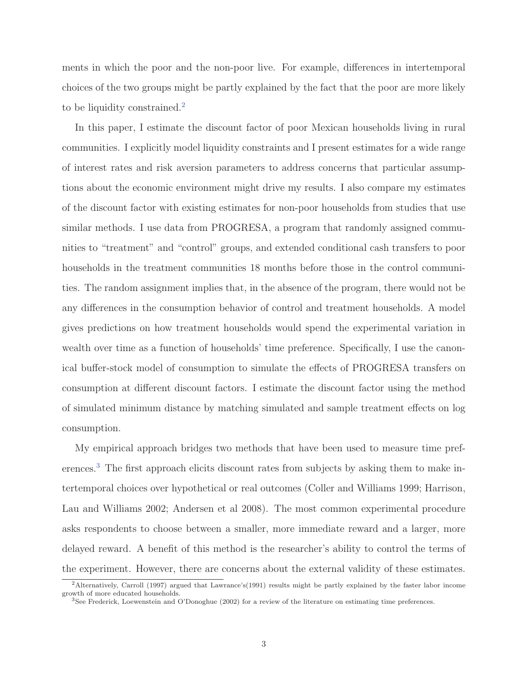ments in which the poor and the non-poor live. For example, differences in intertemporal choices of the two groups might be partly explained by the fact that the poor are more likely to be liquidity constrained.<sup>2</sup>

In this paper, I estimate the discount factor of poor Mexican households living in rural communities. I explicitly model liquidity constraints and I present estimates for a wide range of interest rates and risk aversion parameters to address concerns that particular assumptions about the economic environment might drive my results. I also compare my estimates of the discount factor with existing estimates for non-poor households from studies that use similar methods. I use data from PROGRESA, a program that randomly assigned communities to "treatment" and "control" groups, and extended conditional cash transfers to poor households in the treatment communities 18 months before those in the control communities. The random assignment implies that, in the absence of the program, there would not be any differences in the consumption behavior of control and treatment households. A model gives predictions on how treatment households would spend the experimental variation in wealth over time as a function of households' time preference. Specifically, I use the canonical buffer-stock model of consumption to simulate the effects of PROGRESA transfers on consumption at different discount factors. I estimate the discount factor using the method of simulated minimum distance by matching simulated and sample treatment effects on log consumption.

My empirical approach bridges two methods that have been used to measure time preferences.<sup>3</sup> The first approach elicits discount rates from subjects by asking them to make intertemporal choices over hypothetical or real outcomes (Coller and Williams 1999; Harrison, Lau and Williams 2002; Andersen et al 2008). The most common experimental procedure asks respondents to choose between a smaller, more immediate reward and a larger, more delayed reward. A benefit of this method is the researcher's ability to control the terms of the experiment. However, there are concerns about the external validity of these estimates.

<sup>2</sup>Alternatively, Carroll (1997) argued that Lawrance's(1991) results might be partly explained by the faster labor income growth of more educated households.

<sup>3</sup>See Frederick, Loewenstein and O'Donoghue (2002) for a review of the literature on estimating time preferences.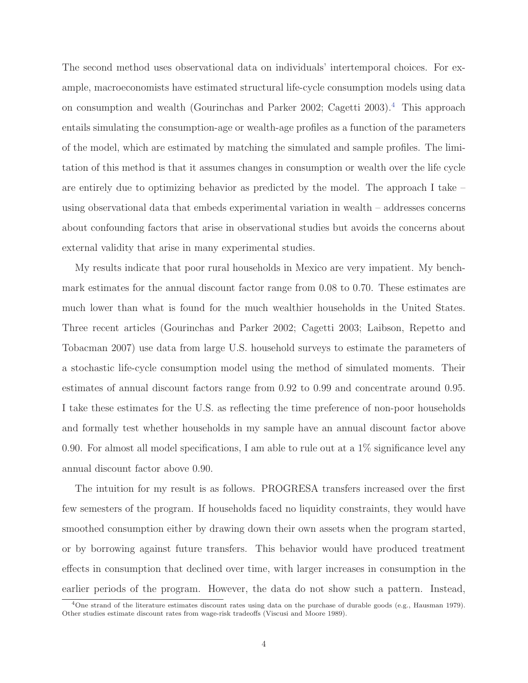The second method uses observational data on individuals' intertemporal choices. For example, macroeconomists have estimated structural life-cycle consumption models using data on consumption and wealth (Gourinchas and Parker 2002; Cagetti 2003).<sup>4</sup> This approach entails simulating the consumption-age or wealth-age profiles as a function of the parameters of the model, which are estimated by matching the simulated and sample profiles. The limitation of this method is that it assumes changes in consumption or wealth over the life cycle are entirely due to optimizing behavior as predicted by the model. The approach I take – using observational data that embeds experimental variation in wealth – addresses concerns about confounding factors that arise in observational studies but avoids the concerns about external validity that arise in many experimental studies.

My results indicate that poor rural households in Mexico are very impatient. My benchmark estimates for the annual discount factor range from 0.08 to 0.70. These estimates are much lower than what is found for the much wealthier households in the United States. Three recent articles (Gourinchas and Parker 2002; Cagetti 2003; Laibson, Repetto and Tobacman 2007) use data from large U.S. household surveys to estimate the parameters of a stochastic life-cycle consumption model using the method of simulated moments. Their estimates of annual discount factors range from 0.92 to 0.99 and concentrate around 0.95. I take these estimates for the U.S. as reflecting the time preference of non-poor households and formally test whether households in my sample have an annual discount factor above 0.90. For almost all model specifications, I am able to rule out at a  $1\%$  significance level any annual discount factor above 0.90.

The intuition for my result is as follows. PROGRESA transfers increased over the first few semesters of the program. If households faced no liquidity constraints, they would have smoothed consumption either by drawing down their own assets when the program started, or by borrowing against future transfers. This behavior would have produced treatment effects in consumption that declined over time, with larger increases in consumption in the earlier periods of the program. However, the data do not show such a pattern. Instead,

 $4$ One strand of the literature estimates discount rates using data on the purchase of durable goods (e.g., Hausman 1979). Other studies estimate discount rates from wage-risk tradeoffs (Viscusi and Moore 1989).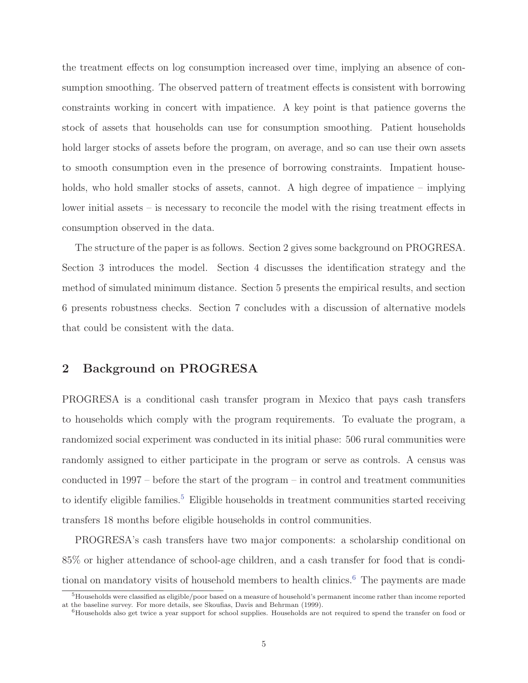the treatment effects on log consumption increased over time, implying an absence of consumption smoothing. The observed pattern of treatment effects is consistent with borrowing constraints working in concert with impatience. A key point is that patience governs the stock of assets that households can use for consumption smoothing. Patient households hold larger stocks of assets before the program, on average, and so can use their own assets to smooth consumption even in the presence of borrowing constraints. Impatient households, who hold smaller stocks of assets, cannot. A high degree of impatience – implying lower initial assets – is necessary to reconcile the model with the rising treatment effects in consumption observed in the data.

The structure of the paper is as follows. Section 2 gives some background on PROGRESA. Section 3 introduces the model. Section 4 discusses the identification strategy and the method of simulated minimum distance. Section 5 presents the empirical results, and section 6 presents robustness checks. Section 7 concludes with a discussion of alternative models that could be consistent with the data.

## **2 Background on PROGRESA**

PROGRESA is a conditional cash transfer program in Mexico that pays cash transfers to households which comply with the program requirements. To evaluate the program, a randomized social experiment was conducted in its initial phase: 506 rural communities were randomly assigned to either participate in the program or serve as controls. A census was conducted in 1997 – before the start of the program – in control and treatment communities to identify eligible families.<sup>5</sup> Eligible households in treatment communities started receiving transfers 18 months before eligible households in control communities.

PROGRESA's cash transfers have two major components: a scholarship conditional on 85% or higher attendance of school-age children, and a cash transfer for food that is conditional on mandatory visits of household members to health clinics.<sup>6</sup> The payments are made

 $5H$ ouseholds were classified as eligible/poor based on a measure of household's permanent income rather than income reported at the baseline survey. For more details, see Skoufias, Davis and Behrman (1999).

<sup>&</sup>lt;sup>6</sup>Households also get twice a year support for school supplies. Households are not required to spend the transfer on food or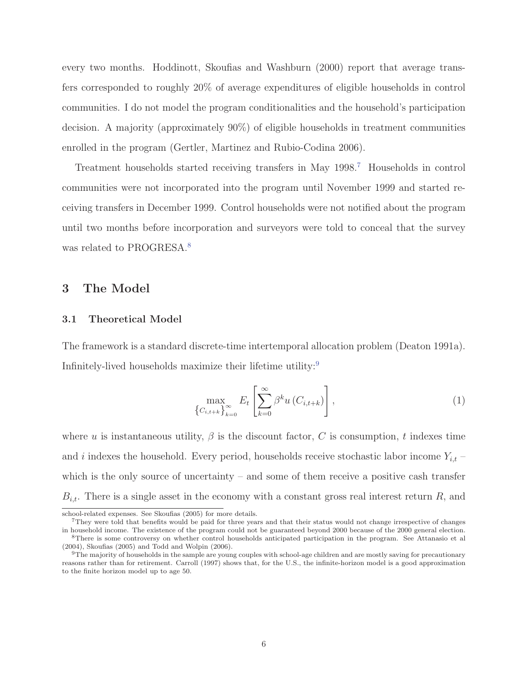every two months. Hoddinott, Skoufias and Washburn (2000) report that average transfers corresponded to roughly 20% of average expenditures of eligible households in control communities. I do not model the program conditionalities and the household's participation decision. A majority (approximately 90%) of eligible households in treatment communities enrolled in the program (Gertler, Martinez and Rubio-Codina 2006).

Treatment households started receiving transfers in May 1998.<sup>7</sup> Households in control communities were not incorporated into the program until November 1999 and started receiving transfers in December 1999. Control households were not notified about the program until two months before incorporation and surveyors were told to conceal that the survey was related to PROGRESA.<sup>8</sup>

## **3 The Model**

#### **3.1 Theoretical Model**

The framework is a standard discrete-time intertemporal allocation problem (Deaton 1991a). Infinitely-lived households maximize their lifetime utility:<sup>9</sup>

$$
\max_{\left\{C_{i,t+k}\right\}_{k=0}^{\infty}} E_t \left[\sum_{k=0}^{\infty} \beta^k u\left(C_{i,t+k}\right)\right],\tag{1}
$$

where u is instantaneous utility,  $\beta$  is the discount factor, C is consumption, t indexes time and i indexes the household. Every period, households receive stochastic labor income  $Y_{i,t}$  – which is the only source of uncertainty – and some of them receive a positive cash transfer  $B_{i,t}$ . There is a single asset in the economy with a constant gross real interest return R, and

school-related expenses. See Skoufias (2005) for more details.

 $7$ They were told that benefits would be paid for three years and that their status would not change irrespective of changes in household income. The existence of the program could not be guaranteed beyond 2000 because of the 2000 general election.

<sup>8</sup>There is some controversy on whether control households anticipated participation in the program. See Attanasio et al (2004), Skoufias (2005) and Todd and Wolpin (2006).

<sup>&</sup>lt;sup>9</sup>The majority of households in the sample are young couples with school-age children and are mostly saving for precautionary reasons rather than for retirement. Carroll (1997) shows that, for the U.S., the infinite-horizon model is a good approximation to the finite horizon model up to age 50.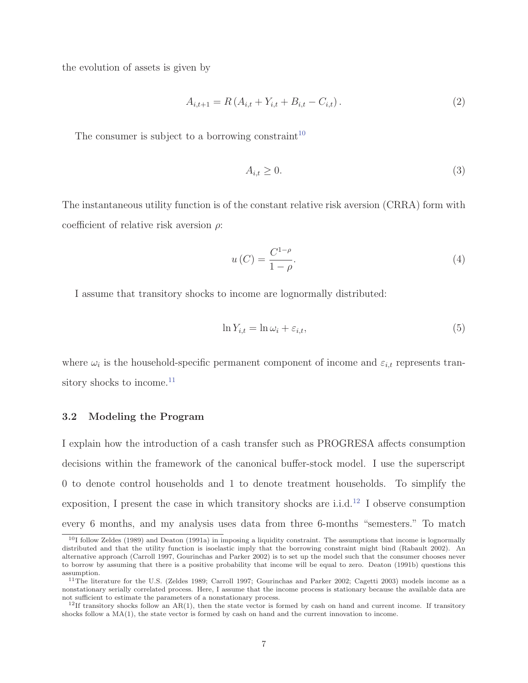the evolution of assets is given by

$$
A_{i,t+1} = R(A_{i,t} + Y_{i,t} + B_{i,t} - C_{i,t}).
$$
\n(2)

The consumer is subject to a borrowing constraint<sup>10</sup>

$$
A_{i,t} \ge 0. \tag{3}
$$

The instantaneous utility function is of the constant relative risk aversion (CRRA) form with coefficient of relative risk aversion  $\rho$ :

$$
u\left(C\right) = \frac{C^{1-\rho}}{1-\rho}.\tag{4}
$$

I assume that transitory shocks to income are lognormally distributed:

$$
\ln Y_{i,t} = \ln \omega_i + \varepsilon_{i,t},\tag{5}
$$

where  $\omega_i$  is the household-specific permanent component of income and  $\varepsilon_{i,t}$  represents transitory shocks to income.<sup>11</sup>

#### **3.2 Modeling the Program**

I explain how the introduction of a cash transfer such as PROGRESA affects consumption decisions within the framework of the canonical buffer-stock model. I use the superscript 0 to denote control households and 1 to denote treatment households. To simplify the exposition, I present the case in which transitory shocks are i.i.d.<sup>12</sup> I observe consumption every 6 months, and my analysis uses data from three 6-months "semesters." To match

 $10$ I follow Zeldes (1989) and Deaton (1991a) in imposing a liquidity constraint. The assumptions that income is lognormally distributed and that the utility function is isoelastic imply that the borrowing constraint might bind (Rabault 2002). An alternative approach (Carroll 1997, Gourinchas and Parker 2002) is to set up the model such that the consumer chooses never to borrow by assuming that there is a positive probability that income will be equal to zero. Deaton (1991b) questions this assumption.

<sup>&</sup>lt;sup>11</sup>The literature for the U.S. (Zeldes 1989; Carroll 1997; Gourinchas and Parker 2002; Cagetti 2003) models income as a nonstationary serially correlated process. Here, I assume that the income process is stationary because the available data are not sufficient to estimate the parameters of a nonstationary process.

 $12$ If transitory shocks follow an AR(1), then the state vector is formed by cash on hand and current income. If transitory shocks follow a  $MA(1)$ , the state vector is formed by cash on hand and the current innovation to income.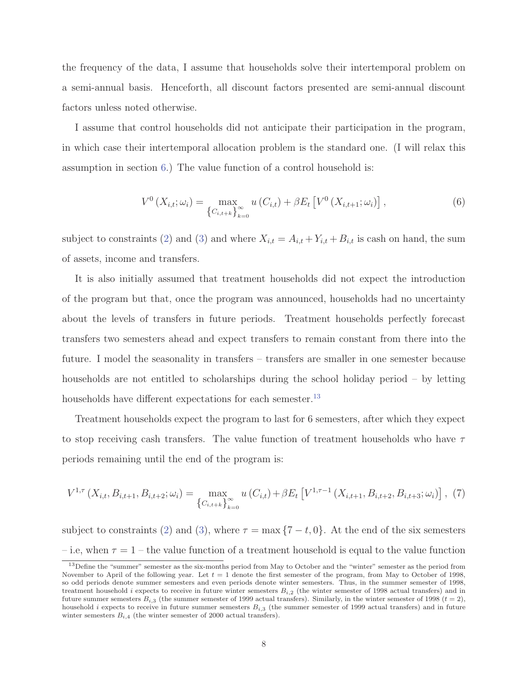the frequency of the data, I assume that households solve their intertemporal problem on a semi-annual basis. Henceforth, all discount factors presented are semi-annual discount factors unless noted otherwise.

I assume that control households did not anticipate their participation in the program, in which case their intertemporal allocation problem is the standard one. (I will relax this assumption in section 6.) The value function of a control household is:

$$
V^{0}\left(X_{i,t};\omega_{i}\right)=\max_{\left\{C_{i,t+k}\right\}_{k=0}^{\infty}}u\left(C_{i,t}\right)+\beta E_{t}\left[V^{0}\left(X_{i,t+1};\omega_{i}\right)\right],
$$
\n(6)

subject to constraints (2) and (3) and where  $X_{i,t} = A_{i,t} + Y_{i,t} + B_{i,t}$  is cash on hand, the sum of assets, income and transfers.

It is also initially assumed that treatment households did not expect the introduction of the program but that, once the program was announced, households had no uncertainty about the levels of transfers in future periods. Treatment households perfectly forecast transfers two semesters ahead and expect transfers to remain constant from there into the future. I model the seasonality in transfers – transfers are smaller in one semester because households are not entitled to scholarships during the school holiday period – by letting households have different expectations for each semester.<sup>13</sup>

Treatment households expect the program to last for 6 semesters, after which they expect to stop receiving cash transfers. The value function of treatment households who have  $\tau$ periods remaining until the end of the program is:

$$
V^{1,\tau}(X_{i,t}, B_{i,t+1}, B_{i,t+2}; \omega_i) = \max_{\left\{C_{i,t+k}\right\}_{k=0}^{\infty}} u\left(C_{i,t}\right) + \beta E_t \left[V^{1,\tau-1}\left(X_{i,t+1}, B_{i,t+2}, B_{i,t+3}; \omega_i\right)\right], (7)
$$

subject to constraints (2) and (3), where  $\tau = \max\{7 - t, 0\}$ . At the end of the six semesters – i.e, when  $\tau = 1$  – the value function of a treatment household is equal to the value function

<sup>&</sup>lt;sup>13</sup>Define the "summer" semester as the six-months period from May to October and the "winter" semester as the period from November to April of the following year. Let  $t = 1$  denote the first semester of the program, from May to October of 1998, so odd periods denote summer semesters and even periods denote winter semesters. Thus, in the summer semester of 1998, treatment household i expects to receive in future winter semesters  $B_{i,2}$  (the winter semester of 1998 actual transfers) and in future summer semesters  $B_{i,3}$  (the summer semester of 1999 actual transfers). Similarly, in the winter semester of 1998 ( $t = 2$ ), household i expects to receive in future summer semesters  $B_{i,3}$  (the summer semester of 1999 actual transfers) and in future winter semesters  $B_{i,4}$  (the winter semester of 2000 actual transfers).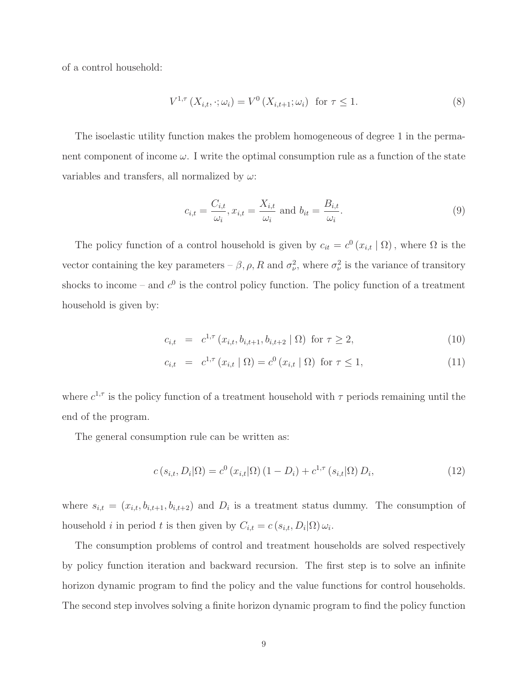of a control household:

$$
V^{1,\tau}\left(X_{i,t},\cdot;\omega_i\right) = V^0\left(X_{i,t+1};\omega_i\right) \text{ for } \tau \le 1. \tag{8}
$$

The isoelastic utility function makes the problem homogeneous of degree 1 in the permanent component of income  $\omega$ . I write the optimal consumption rule as a function of the state variables and transfers, all normalized by  $\omega$ :

$$
c_{i,t} = \frac{C_{i,t}}{\omega_i}, x_{i,t} = \frac{X_{i,t}}{\omega_i} \text{ and } b_{it} = \frac{B_{i,t}}{\omega_i}.
$$
\n
$$
(9)
$$

The policy function of a control household is given by  $c_{it} = c^0 (x_{i,t} | \Omega)$ , where  $\Omega$  is the vector containing the key parameters –  $\beta$ ,  $\rho$ ,  $R$  and  $\sigma_{\nu}^2$ , where  $\sigma_{\nu}^2$  is the variance of transitory shocks to income – and  $c^0$  is the control policy function. The policy function of a treatment household is given by:

$$
c_{i,t} = c^{1,\tau} (x_{i,t}, b_{i,t+1}, b_{i,t+2} | \Omega) \text{ for } \tau \ge 2,
$$
\n(10)

$$
c_{i,t} = c^{1,\tau} (x_{i,t} | \Omega) = c^0 (x_{i,t} | \Omega) \text{ for } \tau \le 1,
$$
\n(11)

where  $c^{1,\tau}$  is the policy function of a treatment household with  $\tau$  periods remaining until the end of the program.

The general consumption rule can be written as:

$$
c(s_{i,t}, D_i|\Omega) = c^0(x_{i,t}|\Omega) (1 - D_i) + c^{1,\tau}(s_{i,t}|\Omega) D_i,
$$
\n(12)

where  $s_{i,t} = (x_{i,t}, b_{i,t+1}, b_{i,t+2})$  and  $D_i$  is a treatment status dummy. The consumption of household *i* in period *t* is then given by  $C_{i,t} = c(s_{i,t}, D_i|\Omega) \omega_i$ .

The consumption problems of control and treatment households are solved respectively by policy function iteration and backward recursion. The first step is to solve an infinite horizon dynamic program to find the policy and the value functions for control households. The second step involves solving a finite horizon dynamic program to find the policy function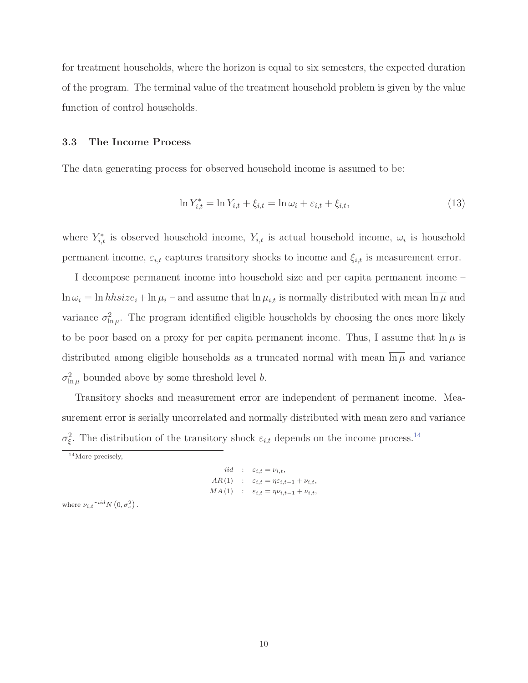for treatment households, where the horizon is equal to six semesters, the expected duration of the program. The terminal value of the treatment household problem is given by the value function of control households.

#### **3.3 The Income Process**

The data generating process for observed household income is assumed to be:

$$
\ln Y_{i,t}^* = \ln Y_{i,t} + \xi_{i,t} = \ln \omega_i + \varepsilon_{i,t} + \xi_{i,t},
$$
\n(13)

where  $Y_{i,t}^*$  is observed household income,  $Y_{i,t}$  is actual household income,  $\omega_i$  is household permanent income,  $\varepsilon_{i,t}$  captures transitory shocks to income and  $\xi_{i,t}$  is measurement error.

I decompose permanent income into household size and per capita permanent income –  $\ln \omega_i = \ln h \sin i \varepsilon_i + \ln \mu_i$  – and assume that  $\ln \mu_{i,t}$  is normally distributed with mean  $\overline{\ln \mu}$  and variance  $\sigma_{\ln \mu}^2$ . The program identified eligible households by choosing the ones more likely to be poor based on a proxy for per capita permanent income. Thus, I assume that  $\ln \mu$  is distributed among eligible households as a truncated normal with mean  $\overline{\ln \mu}$  and variance  $\sigma_{\ln \mu}^2$  bounded above by some threshold level b.

Transitory shocks and measurement error are independent of permanent income. Measurement error is serially uncorrelated and normally distributed with mean zero and variance  $\sigma_{\xi}^2$ . The distribution of the transitory shock  $\varepsilon_{i,t}$  depends on the income process.<sup>14</sup>

$$
iid : \varepsilon_{i,t} = \nu_{i,t},
$$
  
AR (1) :  $\varepsilon_{i,t} = \eta \varepsilon_{i,t-1} + \nu_{i,t},$   
MA (1) :  $\varepsilon_{i,t} = \eta \nu_{i,t-1} + \nu_{i,t},$ 

where  $\nu_{i,t}$ <sup>-iid</sup>N  $(0, \sigma_{\nu}^2)$ .

<sup>14</sup>More precisely,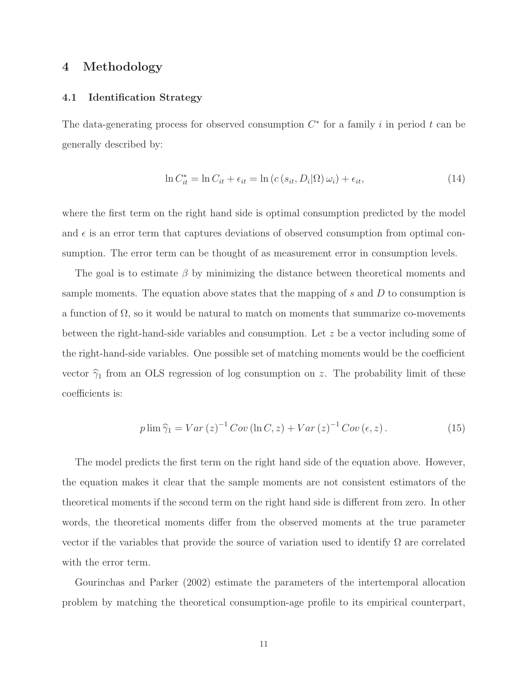## **4 Methodology**

#### **4.1 Identification Strategy**

The data-generating process for observed consumption  $C^*$  for a family i in period t can be generally described by:

$$
\ln C_{it}^* = \ln C_{it} + \epsilon_{it} = \ln \left( c \left( s_{it}, D_i | \Omega \right) \omega_i \right) + \epsilon_{it},\tag{14}
$$

where the first term on the right hand side is optimal consumption predicted by the model and  $\epsilon$  is an error term that captures deviations of observed consumption from optimal consumption. The error term can be thought of as measurement error in consumption levels.

The goal is to estimate  $\beta$  by minimizing the distance between theoretical moments and sample moments. The equation above states that the mapping of  $s$  and  $D$  to consumption is a function of  $\Omega$ , so it would be natural to match on moments that summarize co-movements between the right-hand-side variables and consumption. Let z be a vector including some of the right-hand-side variables. One possible set of matching moments would be the coefficient vector  $\hat{\gamma}_1$  from an OLS regression of log consumption on z. The probability limit of these coefficients is:

$$
p \lim \widehat{\gamma}_1 = Var(z)^{-1} Cov(\ln C, z) + Var(z)^{-1}Cov(\epsilon, z).
$$
 (15)

The model predicts the first term on the right hand side of the equation above. However, the equation makes it clear that the sample moments are not consistent estimators of the theoretical moments if the second term on the right hand side is different from zero. In other words, the theoretical moments differ from the observed moments at the true parameter vector if the variables that provide the source of variation used to identify  $\Omega$  are correlated with the error term.

Gourinchas and Parker (2002) estimate the parameters of the intertemporal allocation problem by matching the theoretical consumption-age profile to its empirical counterpart,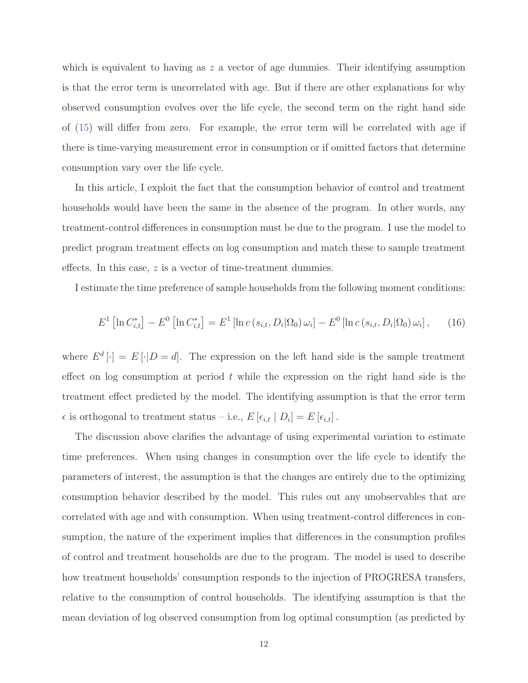which is equivalent to having as  $z$  a vector of age dummies. Their identifying assumption is that the error term is uncorrelated with age. But if there are other explanations for why observed consumption evolves over the life cycle, the second term on the right hand side of (15) will differ from zero. For example, the error term will be correlated with age if there is time-varying measurement error in consumption or if omitted factors that determine consumption vary over the life cycle.

In this article, I exploit the fact that the consumption behavior of control and treatment households would have been the same in the absence of the program. In other words, any treatment-control differences in consumption must be due to the program. I use the model to predict program treatment effects on log consumption and match these to sample treatment effects. In this case, z is a vector of time-treatment dummies.

I estimate the time preference of sample households from the following moment conditions:

$$
E^{1}\left[\ln C_{i,t}^{*}\right] - E^{0}\left[\ln C_{i,t}^{*}\right] = E^{1}\left[\ln c\left(s_{i,t}, D_{i}|\Omega_{0}\right) \omega_{i}\right] - E^{0}\left[\ln c\left(s_{i,t}, D_{i}|\Omega_{0}\right) \omega_{i}\right],\tag{16}
$$

where  $E^d[\cdot] = E[\cdot|D = d]$ . The expression on the left hand side is the sample treatment effect on log consumption at period  $t$  while the expression on the right hand side is the treatment effect predicted by the model. The identifying assumption is that the error term  $\epsilon$  is orthogonal to treatment status – i.e.,  $E\left[\epsilon_{i,t} \mid D_i\right] = E\left[\epsilon_{i,t}\right]$ .

The discussion above clarifies the advantage of using experimental variation to estimate time preferences. When using changes in consumption over the life cycle to identify the parameters of interest, the assumption is that the changes are entirely due to the optimizing consumption behavior described by the model. This rules out any unobservables that are correlated with age and with consumption. When using treatment-control differences in consumption, the nature of the experiment implies that differences in the consumption profiles of control and treatment households are due to the program. The model is used to describe how treatment households' consumption responds to the injection of PROGRESA transfers, relative to the consumption of control households. The identifying assumption is that the mean deviation of log observed consumption from log optimal consumption (as predicted by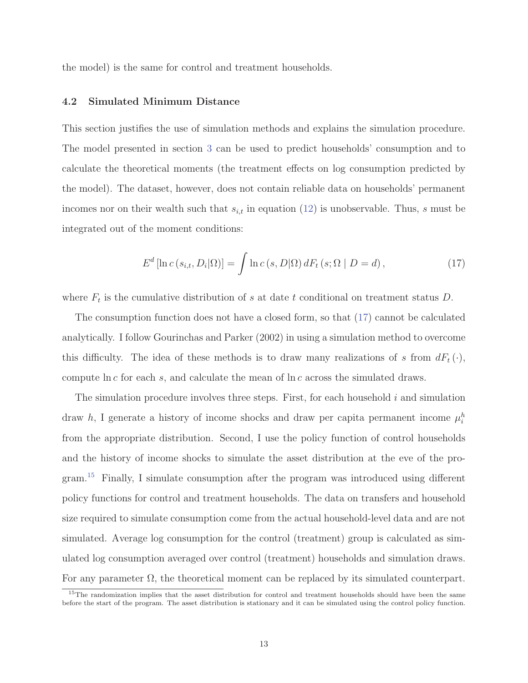the model) is the same for control and treatment households.

#### **4.2 Simulated Minimum Distance**

This section justifies the use of simulation methods and explains the simulation procedure. The model presented in section 3 can be used to predict households' consumption and to calculate the theoretical moments (the treatment effects on log consumption predicted by the model). The dataset, however, does not contain reliable data on households' permanent incomes nor on their wealth such that  $s_{i,t}$  in equation (12) is unobservable. Thus, s must be integrated out of the moment conditions:

$$
E^{d}\left[\ln c\left(s_{i,t}, D_{i}|\Omega\right)\right] = \int \ln c\left(s, D|\Omega\right) dF_{t}\left(s; \Omega \mid D = d\right),\tag{17}
$$

where  $F_t$  is the cumulative distribution of s at date t conditional on treatment status D.

The consumption function does not have a closed form, so that (17) cannot be calculated analytically. I follow Gourinchas and Parker (2002) in using a simulation method to overcome this difficulty. The idea of these methods is to draw many realizations of s from  $dF_t(\cdot)$ , compute  $\ln c$  for each s, and calculate the mean of  $\ln c$  across the simulated draws.

The simulation procedure involves three steps. First, for each household  $i$  and simulation draw h, I generate a history of income shocks and draw per capita permanent income  $\mu_i^h$ from the appropriate distribution. Second, I use the policy function of control households and the history of income shocks to simulate the asset distribution at the eve of the program.<sup>15</sup> Finally, I simulate consumption after the program was introduced using different policy functions for control and treatment households. The data on transfers and household size required to simulate consumption come from the actual household-level data and are not simulated. Average log consumption for the control (treatment) group is calculated as simulated log consumption averaged over control (treatment) households and simulation draws. For any parameter  $\Omega$ , the theoretical moment can be replaced by its simulated counterpart.

<sup>&</sup>lt;sup>15</sup>The randomization implies that the asset distribution for control and treatment households should have been the same before the start of the program. The asset distribution is stationary and it can be simulated using the control policy function.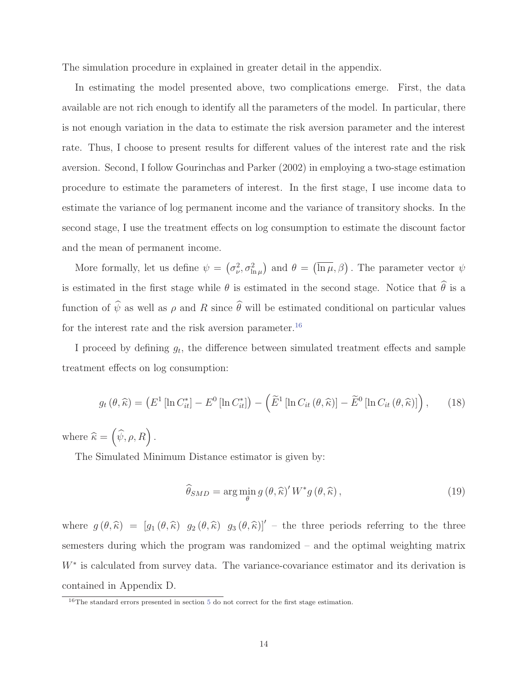The simulation procedure in explained in greater detail in the appendix.

In estimating the model presented above, two complications emerge. First, the data available are not rich enough to identify all the parameters of the model. In particular, there is not enough variation in the data to estimate the risk aversion parameter and the interest rate. Thus, I choose to present results for different values of the interest rate and the risk aversion. Second, I follow Gourinchas and Parker (2002) in employing a two-stage estimation procedure to estimate the parameters of interest. In the first stage, I use income data to estimate the variance of log permanent income and the variance of transitory shocks. In the second stage, I use the treatment effects on log consumption to estimate the discount factor and the mean of permanent income.

More formally, let us define  $\psi = (\sigma_{\nu}^2, \sigma_{\ln \mu}^2)$  and  $\theta = (\overline{\ln \mu}, \beta)$ . The parameter vector  $\psi$ is estimated in the first stage while  $\theta$  is estimated in the second stage. Notice that  $\theta$  is a function of  $\psi$  as well as  $\rho$  and R since  $\theta$  will be estimated conditional on particular values for the interest rate and the risk aversion parameter.  $^{16}$ 

I proceed by defining  $g_t$ , the difference between simulated treatment effects and sample treatment effects on log consumption:

$$
g_t(\theta, \widehat{\kappa}) = \left( E^1 \left[ \ln C_{it}^* \right] - E^0 \left[ \ln C_{it}^* \right] \right) - \left( \widetilde{E}^1 \left[ \ln C_{it} \left( \theta, \widehat{\kappa} \right) \right] - \widetilde{E}^0 \left[ \ln C_{it} \left( \theta, \widehat{\kappa} \right) \right] \right), \tag{18}
$$

where  $\widehat{\kappa} = (\widehat{\psi}, \rho, R)$ .

The Simulated Minimum Distance estimator is given by:

$$
\widehat{\theta}_{SMD} = \arg\min_{\theta} g(\theta, \widehat{\kappa})' W^* g(\theta, \widehat{\kappa}), \qquad (19)
$$

where  $g(\theta, \hat{\kappa})=[g_1 (\theta, \hat{\kappa}) g_2 (\theta, \hat{\kappa}) g_3 (\theta, \hat{\kappa})]$  – the three periods referring to the three semesters during which the program was randomized – and the optimal weighting matrix  $W^*$  is calculated from survey data. The variance-covariance estimator and its derivation is contained in Appendix D.

<sup>&</sup>lt;sup>16</sup>The standard errors presented in section 5 do not correct for the first stage estimation.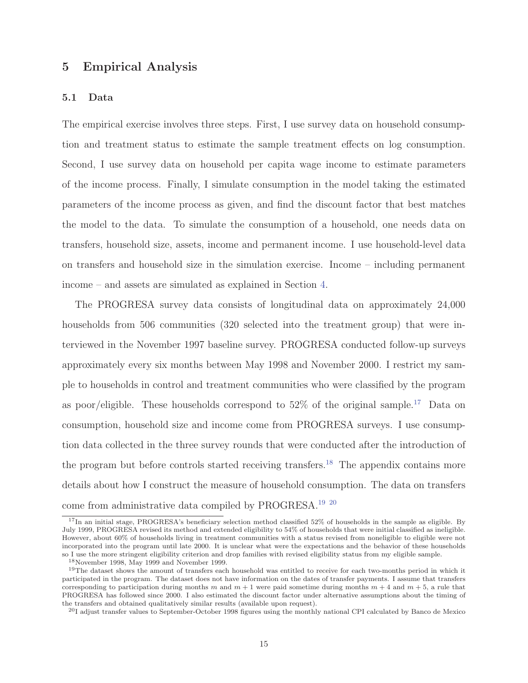## **5 Empirical Analysis**

#### **5.1 Data**

The empirical exercise involves three steps. First, I use survey data on household consumption and treatment status to estimate the sample treatment effects on log consumption. Second, I use survey data on household per capita wage income to estimate parameters of the income process. Finally, I simulate consumption in the model taking the estimated parameters of the income process as given, and find the discount factor that best matches the model to the data. To simulate the consumption of a household, one needs data on transfers, household size, assets, income and permanent income. I use household-level data on transfers and household size in the simulation exercise. Income – including permanent income – and assets are simulated as explained in Section 4.

The PROGRESA survey data consists of longitudinal data on approximately 24,000 households from 506 communities (320 selected into the treatment group) that were interviewed in the November 1997 baseline survey. PROGRESA conducted follow-up surveys approximately every six months between May 1998 and November 2000. I restrict my sample to households in control and treatment communities who were classified by the program as poor/eligible. These households correspond to  $52\%$  of the original sample.<sup>17</sup> Data on consumption, household size and income come from PROGRESA surveys. I use consumption data collected in the three survey rounds that were conducted after the introduction of the program but before controls started receiving transfers.<sup>18</sup> The appendix contains more details about how I construct the measure of household consumption. The data on transfers come from administrative data compiled by PROGRESA.19 20

 $17$ In an initial stage, PROGRESA's beneficiary selection method classified 52% of households in the sample as eligible. By July 1999, PROGRESA revised its method and extended eligibility to 54% of households that were initial classified as ineligible. However, about 60% of households living in treatment communities with a status revised from noneligible to eligible were not incorporated into the program until late 2000. It is unclear what were the expectations and the behavior of these households so I use the more stringent eligibility criterion and drop families with revised eligibility status from my eligible sample.

<sup>18</sup>November 1998, May 1999 and November 1999.

<sup>&</sup>lt;sup>19</sup>The dataset shows the amount of transfers each household was entitled to receive for each two-months period in which it participated in the program. The dataset does not have information on the dates of transfer payments. I assume that transfers corresponding to participation during months m and  $m + 1$  were paid sometime during months  $m + 4$  and  $m + 5$ , a rule that PROGRESA has followed since 2000. I also estimated the discount factor under alternative assumptions about the timing of the transfers and obtained qualitatively similar results (available upon request).

<sup>&</sup>lt;sup>20</sup>I adjust transfer values to September-October 1998 figures using the monthly national CPI calculated by Banco de Mexico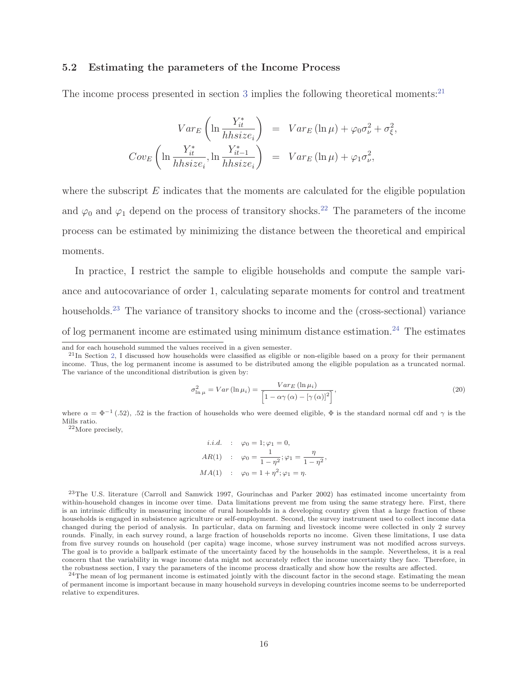#### **5.2 Estimating the parameters of the Income Process**

The income process presented in section 3 implies the following theoretical moments:<sup>21</sup>

$$
Var_E \left( \ln \frac{Y_{it}^*}{h h s i z e_i} \right) = Var_E \left( \ln \mu \right) + \varphi_0 \sigma_\nu^2 + \sigma_\xi^2,
$$
  
\n
$$
Cov_E \left( \ln \frac{Y_{it}^*}{h h s i z e_i}, \ln \frac{Y_{it-1}^*}{h h s i z e_i} \right) = Var_E \left( \ln \mu \right) + \varphi_1 \sigma_\nu^2,
$$

where the subscript  $E$  indicates that the moments are calculated for the eligible population and  $\varphi_0$  and  $\varphi_1$  depend on the process of transitory shocks.<sup>22</sup> The parameters of the income process can be estimated by minimizing the distance between the theoretical and empirical moments.

In practice, I restrict the sample to eligible households and compute the sample variance and autocovariance of order 1, calculating separate moments for control and treatment households.<sup>23</sup> The variance of transitory shocks to income and the (cross-sectional) variance of log permanent income are estimated using minimum distance estimation.<sup>24</sup> The estimates

$$
\sigma_{\ln \mu}^{2} = Var\left(\ln \mu_{i}\right) = \frac{Var_{E}\left(\ln \mu_{i}\right)}{\left[1 - \alpha \gamma\left(\alpha\right) - \left[\gamma\left(\alpha\right)\right]^{2}\right]},\tag{20}
$$

where  $\alpha = \Phi^{-1}$  (.52), .52 is the fraction of households who were deemed eligible,  $\Phi$  is the standard normal cdf and  $\gamma$  is the Mills ratio.

<sup>22</sup>More precisely,

i.i.d. : 
$$
\varphi_0 = 1; \varphi_1 = 0,
$$
  
\n $AR(1) : \varphi_0 = \frac{1}{1 - \eta^2}; \varphi_1 = \frac{\eta}{1 - \eta^2},$   
\n $MA(1) : \varphi_0 = 1 + \eta^2; \varphi_1 = \eta.$ 

<sup>23</sup>The U.S. literature (Carroll and Samwick 1997, Gourinchas and Parker 2002) has estimated income uncertainty from within-household changes in income over time. Data limitations prevent me from using the same strategy here. First, there is an intrinsic difficulty in measuring income of rural households in a developing country given that a large fraction of these households is engaged in subsistence agriculture or self-employment. Second, the survey instrument used to collect income data changed during the period of analysis. In particular, data on farming and livestock income were collected in only 2 survey rounds. Finally, in each survey round, a large fraction of households reports no income. Given these limitations, I use data from five survey rounds on household (per capita) wage income, whose survey instrument was not modified across surveys. The goal is to provide a ballpark estimate of the uncertainty faced by the households in the sample. Nevertheless, it is a real concern that the variability in wage income data might not accurately reflect the income uncertainty they face. Therefore, in the robustness section, I vary the parameters of the income process drastically and show how the results are affected.

 $^{24}$ The mean of log permanent income is estimated jointly with the discount factor in the second stage. Estimating the mean of permanent income is important because in many household surveys in developing countries income seems to be underreported relative to expenditures.

and for each household summed the values received in a given semester.

 $^{21}$ In Section 2, I discussed how households were classified as eligible or non-eligible based on a proxy for their permanent income. Thus, the log permanent income is assumed to be distributed among the eligible population as a truncated normal. The variance of the unconditional distribution is given by: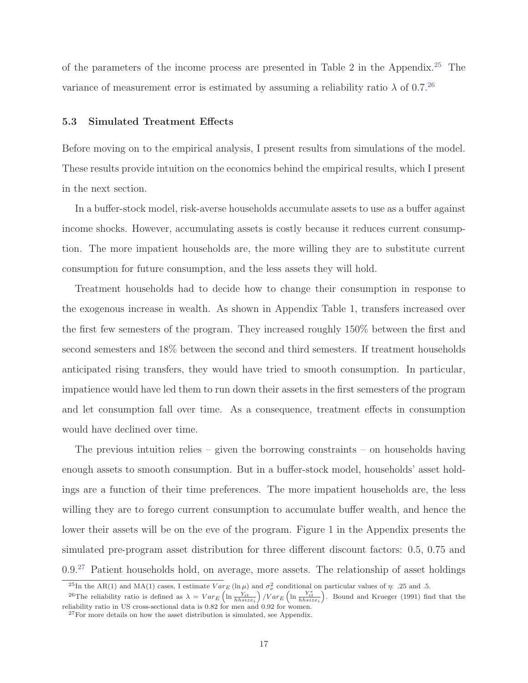of the parameters of the income process are presented in Table 2 in the Appendix.<sup>25</sup> The variance of measurement error is estimated by assuming a reliability ratio  $\lambda$  of 0.7.<sup>26</sup>

#### **5.3 Simulated Treatment Effects**

Before moving on to the empirical analysis, I present results from simulations of the model. These results provide intuition on the economics behind the empirical results, which I present in the next section.

In a buffer-stock model, risk-averse households accumulate assets to use as a buffer against income shocks. However, accumulating assets is costly because it reduces current consumption. The more impatient households are, the more willing they are to substitute current consumption for future consumption, and the less assets they will hold.

Treatment households had to decide how to change their consumption in response to the exogenous increase in wealth. As shown in Appendix Table 1, transfers increased over the first few semesters of the program. They increased roughly 150% between the first and second semesters and 18% between the second and third semesters. If treatment households anticipated rising transfers, they would have tried to smooth consumption. In particular, impatience would have led them to run down their assets in the first semesters of the program and let consumption fall over time. As a consequence, treatment effects in consumption would have declined over time.

The previous intuition relies – given the borrowing constraints – on households having enough assets to smooth consumption. But in a buffer-stock model, households' asset holdings are a function of their time preferences. The more impatient households are, the less willing they are to forego current consumption to accumulate buffer wealth, and hence the lower their assets will be on the eve of the program. Figure 1 in the Appendix presents the simulated pre-program asset distribution for three different discount factors: 0.5, 0.75 and  $0.9<sup>27</sup>$  Patient households hold, on average, more assets. The relationship of asset holdings

<sup>&</sup>lt;sup>25</sup>In the AR(1) and MA(1) cases, I estimate  $Var_E(\ln \mu)$  and  $\sigma_{\nu}^2$  conditional on particular values of  $\eta$ : .25 and .5.

<sup>&</sup>lt;sup>26</sup>The reliability ratio is defined as  $\lambda = Var_E \left( \ln \frac{Y_{it}}{hhsize_i} \right) / Var_E \left( \ln \frac{Y_{it}^*}{hhsize_i} \right)$ . Bound and Krueger (1991) find that the reliability ratio in US cross-sectional data is 0.82 for men and 0.92 for women.

 $27$ For more details on how the asset distribution is simulated, see Appendix.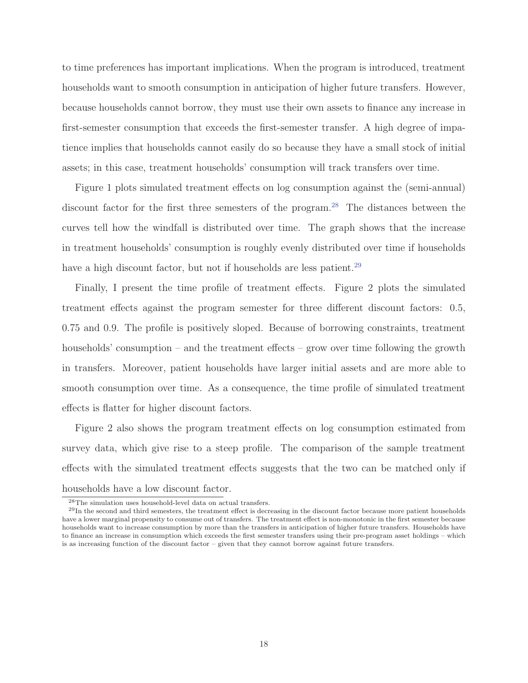to time preferences has important implications. When the program is introduced, treatment households want to smooth consumption in anticipation of higher future transfers. However, because households cannot borrow, they must use their own assets to finance any increase in first-semester consumption that exceeds the first-semester transfer. A high degree of impatience implies that households cannot easily do so because they have a small stock of initial assets; in this case, treatment households' consumption will track transfers over time.

Figure 1 plots simulated treatment effects on log consumption against the (semi-annual) discount factor for the first three semesters of the program.<sup>28</sup> The distances between the curves tell how the windfall is distributed over time. The graph shows that the increase in treatment households' consumption is roughly evenly distributed over time if households have a high discount factor, but not if households are less patient.<sup>29</sup>

Finally, I present the time profile of treatment effects. Figure 2 plots the simulated treatment effects against the program semester for three different discount factors: 0.5, 0.75 and 0.9. The profile is positively sloped. Because of borrowing constraints, treatment households' consumption – and the treatment effects – grow over time following the growth in transfers. Moreover, patient households have larger initial assets and are more able to smooth consumption over time. As a consequence, the time profile of simulated treatment effects is flatter for higher discount factors.

Figure 2 also shows the program treatment effects on log consumption estimated from survey data, which give rise to a steep profile. The comparison of the sample treatment effects with the simulated treatment effects suggests that the two can be matched only if households have a low discount factor.

<sup>28</sup>The simulation uses household-level data on actual transfers.

 $^{29}$ In the second and third semesters, the treatment effect is decreasing in the discount factor because more patient households have a lower marginal propensity to consume out of transfers. The treatment effect is non-monotonic in the first semester because households want to increase consumption by more than the transfers in anticipation of higher future transfers. Households have to finance an increase in consumption which exceeds the first semester transfers using their pre-program asset holdings – which is as increasing function of the discount factor – given that they cannot borrow against future transfers.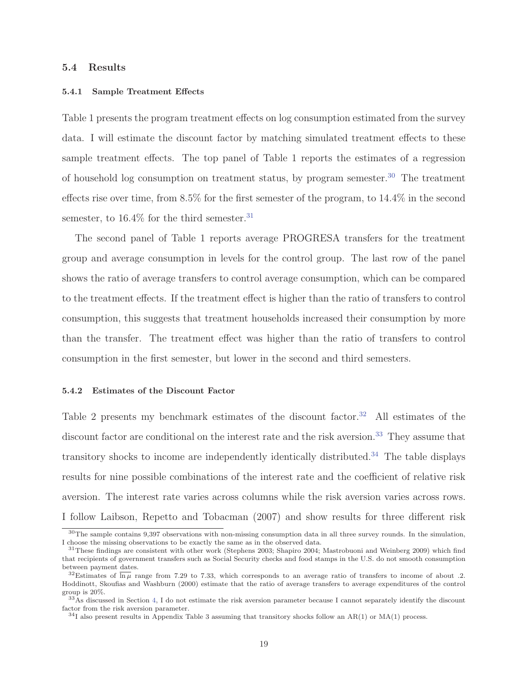#### **5.4 Results**

#### **5.4.1 Sample Treatment Effects**

Table 1 presents the program treatment effects on log consumption estimated from the survey data. I will estimate the discount factor by matching simulated treatment effects to these sample treatment effects. The top panel of Table 1 reports the estimates of a regression of household log consumption on treatment status, by program semester.<sup>30</sup> The treatment effects rise over time, from 8.5% for the first semester of the program, to 14.4% in the second semester, to  $16.4\%$  for the third semester.<sup>31</sup>

The second panel of Table 1 reports average PROGRESA transfers for the treatment group and average consumption in levels for the control group. The last row of the panel shows the ratio of average transfers to control average consumption, which can be compared to the treatment effects. If the treatment effect is higher than the ratio of transfers to control consumption, this suggests that treatment households increased their consumption by more than the transfer. The treatment effect was higher than the ratio of transfers to control consumption in the first semester, but lower in the second and third semesters.

#### **5.4.2 Estimates of the Discount Factor**

Table 2 presents my benchmark estimates of the discount factor.<sup>32</sup> All estimates of the discount factor are conditional on the interest rate and the risk aversion.<sup>33</sup> They assume that transitory shocks to income are independently identically distributed.<sup>34</sup> The table displays results for nine possible combinations of the interest rate and the coefficient of relative risk aversion. The interest rate varies across columns while the risk aversion varies across rows. I follow Laibson, Repetto and Tobacman (2007) and show results for three different risk

<sup>30</sup>The sample contains 9,397 observations with non-missing consumption data in all three survey rounds. In the simulation, I choose the missing observations to be exactly the same as in the observed data.

<sup>31</sup>These findings are consistent with other work (Stephens 2003; Shapiro 2004; Mastrobuoni and Weinberg 2009) which find that recipients of government transfers such as Social Security checks and food stamps in the U.S. do not smooth consumption between payment dates.

<sup>&</sup>lt;sup>32</sup>Estimates of  $\overline{\ln \mu}$  range from 7.29 to 7.33, which corresponds to an average ratio of transfers to income of about .2. Hoddinott, Skoufias and Washburn (2000) estimate that the ratio of average transfers to average expenditures of the control group is 20%.

 $33$ As discussed in Section 4, I do not estimate the risk aversion parameter because I cannot separately identify the discount factor from the risk aversion parameter.

 $34$ I also present results in Appendix Table 3 assuming that transitory shocks follow an AR(1) or MA(1) process.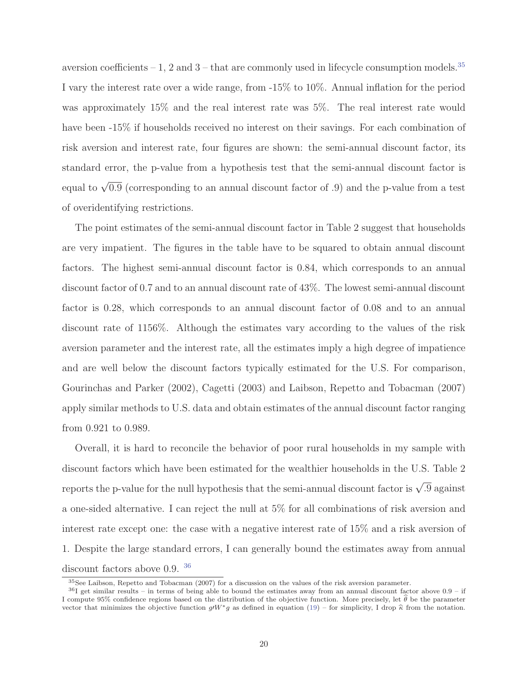aversion coefficients – 1, 2 and  $3$  – that are commonly used in lifecycle consumption models.<sup>35</sup> I vary the interest rate over a wide range, from -15% to 10%. Annual inflation for the period was approximately 15% and the real interest rate was 5%. The real interest rate would have been  $-15\%$  if households received no interest on their savings. For each combination of risk aversion and interest rate, four figures are shown: the semi-annual discount factor, its standard error, the p-value from a hypothesis test that the semi-annual discount factor is equal to  $\sqrt{0.9}$  (corresponding to an annual discount factor of .9) and the p-value from a test of overidentifying restrictions.

The point estimates of the semi-annual discount factor in Table 2 suggest that households are very impatient. The figures in the table have to be squared to obtain annual discount factors. The highest semi-annual discount factor is 0.84, which corresponds to an annual discount factor of 0.7 and to an annual discount rate of 43%. The lowest semi-annual discount factor is 0.28, which corresponds to an annual discount factor of 0.08 and to an annual discount rate of 1156%. Although the estimates vary according to the values of the risk aversion parameter and the interest rate, all the estimates imply a high degree of impatience and are well below the discount factors typically estimated for the U.S. For comparison, Gourinchas and Parker (2002), Cagetti (2003) and Laibson, Repetto and Tobacman (2007) apply similar methods to U.S. data and obtain estimates of the annual discount factor ranging from 0.921 to 0.989.

Overall, it is hard to reconcile the behavior of poor rural households in my sample with discount factors which have been estimated for the wealthier households in the U.S. Table 2 reports the p-value for the null hypothesis that the semi-annual discount factor is  $\sqrt{.9}$  against a one-sided alternative. I can reject the null at 5% for all combinations of risk aversion and interest rate except one: the case with a negative interest rate of 15% and a risk aversion of 1. Despite the large standard errors, I can generally bound the estimates away from annual discount factors above 0.9. <sup>36</sup>

<sup>35</sup>See Laibson, Repetto and Tobacman (2007) for a discussion on the values of the risk aversion parameter.

 $36$ I get similar results – in terms of being able to bound the estimates away from an annual discount factor above  $0.9$  – if I compute  $95\%$  confidence regions based on the distribution of the objective function. More precisely, let  $\theta$  be the parameter vector that minimizes the objective function  $gW^*g$  as defined in equation (19) – for simplicity, I drop  $\hat{\kappa}$  from the notation.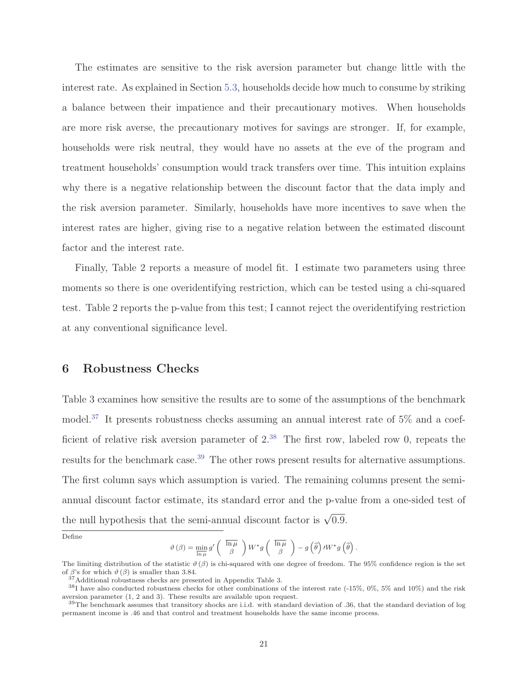The estimates are sensitive to the risk aversion parameter but change little with the interest rate. As explained in Section 5.3, households decide how much to consume by striking a balance between their impatience and their precautionary motives. When households are more risk averse, the precautionary motives for savings are stronger. If, for example, households were risk neutral, they would have no assets at the eve of the program and treatment households' consumption would track transfers over time. This intuition explains why there is a negative relationship between the discount factor that the data imply and the risk aversion parameter. Similarly, households have more incentives to save when the interest rates are higher, giving rise to a negative relation between the estimated discount factor and the interest rate.

Finally, Table 2 reports a measure of model fit. I estimate two parameters using three moments so there is one overidentifying restriction, which can be tested using a chi-squared test. Table 2 reports the p-value from this test; I cannot reject the overidentifying restriction at any conventional significance level.

## **6 Robustness Checks**

Table 3 examines how sensitive the results are to some of the assumptions of the benchmark model.<sup>37</sup> It presents robustness checks assuming an annual interest rate of  $5\%$  and a coefficient of relative risk aversion parameter of  $2^{38}$  The first row, labeled row 0, repeats the results for the benchmark case.<sup>39</sup> The other rows present results for alternative assumptions. The first column says which assumption is varied. The remaining columns present the semiannual discount factor estimate, its standard error and the p-value from a one-sided test of the null hypothesis that the semi-annual discount factor is  $\sqrt{0.9}$ .

Define

$$
\vartheta(\beta) = \min_{\overline{\ln \mu}} g' \left( \overline{\ln \mu} \right) W^* g \left( \overline{\ln \mu} \right) - g(\widehat{\theta}) \, I W^* g(\widehat{\theta})
$$

.

The limiting distribution of the statistic  $\vartheta(\beta)$  is chi-squared with one degree of freedom. The 95% confidence region is the set of  $\beta$ 's for which  $\vartheta(\beta)$  is smaller than 3.84.

<sup>37</sup>Additional robustness checks are presented in Appendix Table 3.

 $38$ I have also conducted robustness checks for other combinations of the interest rate (-15%, 0%, 5% and 10%) and the risk aversion parameter (1, 2 and 3). These results are available upon request.

<sup>&</sup>lt;sup>39</sup>The benchmark assumes that transitory shocks are i.i.d. with standard deviation of .36, that the standard deviation of log permanent income is .46 and that control and treatment households have the same income process.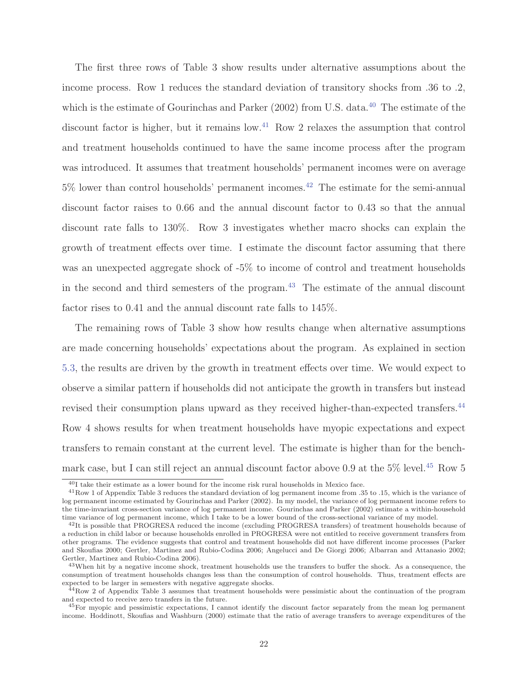The first three rows of Table 3 show results under alternative assumptions about the income process. Row 1 reduces the standard deviation of transitory shocks from .36 to .2, which is the estimate of Gourinchas and Parker  $(2002)$  from U.S. data.<sup>40</sup> The estimate of the discount factor is higher, but it remains low.<sup>41</sup> Row 2 relaxes the assumption that control and treatment households continued to have the same income process after the program was introduced. It assumes that treatment households' permanent incomes were on average  $5\%$  lower than control households' permanent incomes.<sup>42</sup> The estimate for the semi-annual discount factor raises to 0.66 and the annual discount factor to 0.43 so that the annual discount rate falls to 130%. Row 3 investigates whether macro shocks can explain the growth of treatment effects over time. I estimate the discount factor assuming that there was an unexpected aggregate shock of -5% to income of control and treatment households in the second and third semesters of the program.<sup>43</sup> The estimate of the annual discount factor rises to 0.41 and the annual discount rate falls to 145%.

The remaining rows of Table 3 show how results change when alternative assumptions are made concerning households' expectations about the program. As explained in section 5.3, the results are driven by the growth in treatment effects over time. We would expect to observe a similar pattern if households did not anticipate the growth in transfers but instead revised their consumption plans upward as they received higher-than-expected transfers.<sup>44</sup> Row 4 shows results for when treatment households have myopic expectations and expect transfers to remain constant at the current level. The estimate is higher than for the benchmark case, but I can still reject an annual discount factor above 0.9 at the  $5\%$  level.<sup>45</sup> Row 5

<sup>40</sup>I take their estimate as a lower bound for the income risk rural households in Mexico face.

<sup>&</sup>lt;sup>41</sup>Row 1 of Appendix Table 3 reduces the standard deviation of log permanent income from .35 to .15, which is the variance of log permanent income estimated by Gourinchas and Parker (2002). In my model, the variance of log permanent income refers to the time-invariant cross-section variance of log permanent income. Gourinchas and Parker (2002) estimate a within-household time variance of log permanent income, which I take to be a lower bound of the cross-sectional variance of my model.

 $^{42}$ It is possible that PROGRESA reduced the income (excluding PROGRESA transfers) of treatment households because of a reduction in child labor or because households enrolled in PROGRESA were not entitled to receive government transfers from other programs. The evidence suggests that control and treatment households did not have different income processes (Parker and Skoufias 2000; Gertler, Martinez and Rubio-Codina 2006; Angelucci and De Giorgi 2006; Albarran and Attanasio 2002; Gertler, Martinez and Rubio-Codina 2006).

<sup>&</sup>lt;sup>43</sup>When hit by a negative income shock, treatment households use the transfers to buffer the shock. As a consequence, the consumption of treatment households changes less than the consumption of control households. Thus, treatment effects are expected to be larger in semesters with negative aggregate shocks.

<sup>44</sup>Row 2 of Appendix Table 3 assumes that treatment households were pessimistic about the continuation of the program and expected to receive zero transfers in the future.

<sup>&</sup>lt;sup>45</sup>For myopic and pessimistic expectations, I cannot identify the discount factor separately from the mean log permanent income. Hoddinott, Skoufias and Washburn (2000) estimate that the ratio of average transfers to average expenditures of the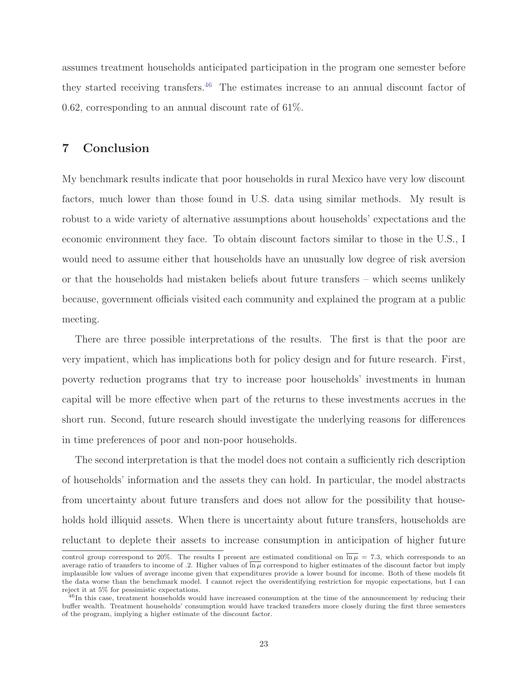assumes treatment households anticipated participation in the program one semester before they started receiving transfers.<sup>46</sup> The estimates increase to an annual discount factor of 0.62, corresponding to an annual discount rate of 61%.

## **7 Conclusion**

My benchmark results indicate that poor households in rural Mexico have very low discount factors, much lower than those found in U.S. data using similar methods. My result is robust to a wide variety of alternative assumptions about households' expectations and the economic environment they face. To obtain discount factors similar to those in the U.S., I would need to assume either that households have an unusually low degree of risk aversion or that the households had mistaken beliefs about future transfers – which seems unlikely because, government officials visited each community and explained the program at a public meeting.

There are three possible interpretations of the results. The first is that the poor are very impatient, which has implications both for policy design and for future research. First, poverty reduction programs that try to increase poor households' investments in human capital will be more effective when part of the returns to these investments accrues in the short run. Second, future research should investigate the underlying reasons for differences in time preferences of poor and non-poor households.

The second interpretation is that the model does not contain a sufficiently rich description of households' information and the assets they can hold. In particular, the model abstracts from uncertainty about future transfers and does not allow for the possibility that households hold illiquid assets. When there is uncertainty about future transfers, households are reluctant to deplete their assets to increase consumption in anticipation of higher future

control group correspond to 20%. The results I present are estimated conditional on  $\overline{\ln \mu} = 7.3$ , which corresponds to an average ratio of transfers to income of .2. Higher values of  $\overline{\ln \mu}$  correspond to higher estimates of the discount factor but imply implausible low values of average income given that expenditures provide a lower bound for income. Both of these models fit the data worse than the benchmark model. I cannot reject the overidentifying restriction for myopic expectations, but I can reject it at 5% for pessimistic expectations.

 $^{46}$ In this case, treatment households would have increased consumption at the time of the announcement by reducing their buffer wealth. Treatment households' consumption would have tracked transfers more closely during the first three semesters of the program, implying a higher estimate of the discount factor.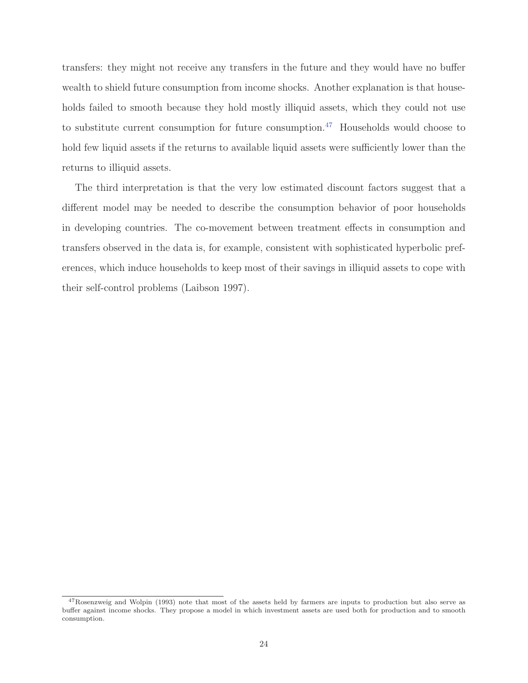transfers: they might not receive any transfers in the future and they would have no buffer wealth to shield future consumption from income shocks. Another explanation is that households failed to smooth because they hold mostly illiquid assets, which they could not use to substitute current consumption for future consumption.<sup>47</sup> Households would choose to hold few liquid assets if the returns to available liquid assets were sufficiently lower than the returns to illiquid assets.

The third interpretation is that the very low estimated discount factors suggest that a different model may be needed to describe the consumption behavior of poor households in developing countries. The co-movement between treatment effects in consumption and transfers observed in the data is, for example, consistent with sophisticated hyperbolic preferences, which induce households to keep most of their savings in illiquid assets to cope with their self-control problems (Laibson 1997).

<sup>47</sup>Rosenzweig and Wolpin (1993) note that most of the assets held by farmers are inputs to production but also serve as buffer against income shocks. They propose a model in which investment assets are used both for production and to smooth consumption.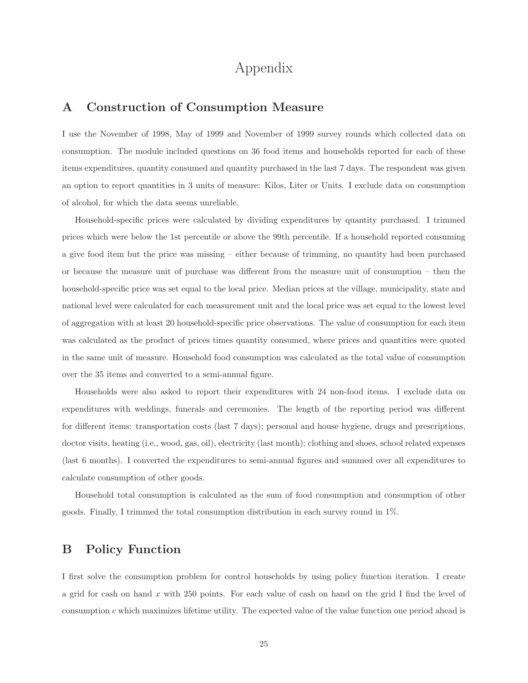# Appendix

## **A Construction of Consumption Measure**

I use the November of 1998, May of 1999 and November of 1999 survey rounds which collected data on consumption. The module included questions on 36 food items and households reported for each of these items expenditures, quantity consumed and quantity purchased in the last 7 days. The respondent was given an option to report quantities in 3 units of measure: Kilos, Liter or Units. I exclude data on consumption of alcohol, for which the data seems unreliable.

Household-specific prices were calculated by dividing expenditures by quantity purchased. I trimmed prices which were below the 1st percentile or above the 99th percentile. If a household reported consuming a give food item but the price was missing – either because of trimming, no quantity had been purchased or because the measure unit of purchase was different from the measure unit of consumption – then the household-specific price was set equal to the local price. Median prices at the village, municipality, state and national level were calculated for each measurement unit and the local price was set equal to the lowest level of aggregation with at least 20 household-specific price observations. The value of consumption for each item was calculated as the product of prices times quantity consumed, where prices and quantities were quoted in the same unit of measure. Household food consumption was calculated as the total value of consumption over the 35 items and converted to a semi-annual figure.

Households were also asked to report their expenditures with 24 non-food items. I exclude data on expenditures with weddings, funerals and ceremonies. The length of the reporting period was different for different items: transportation costs (last 7 days); personal and house hygiene, drugs and prescriptions, doctor visits, heating (i.e., wood, gas, oil), electricity (last month); clothing and shoes, school related expenses (last 6 months). I converted the expenditures to semi-annual figures and summed over all expenditures to calculate consumption of other goods.

Household total consumption is calculated as the sum of food consumption and consumption of other goods. Finally, I trimmed the total consumption distribution in each survey round in 1%.

## **B Policy Function**

I first solve the consumption problem for control households by using policy function iteration. I create a grid for cash on hand x with 250 points. For each value of cash on hand on the grid I find the level of consumption c which maximizes lifetime utility. The expected value of the value function one period ahead is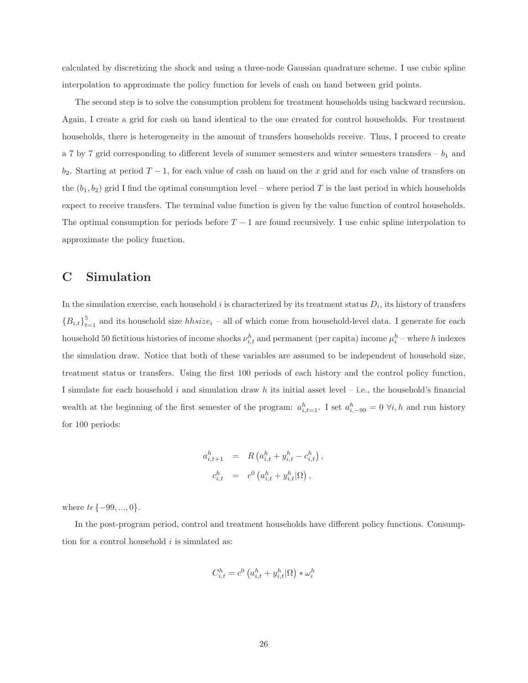calculated by discretizing the shock and using a three-node Gaussian quadrature scheme. I use cubic spline interpolation to approximate the policy function for levels of cash on hand between grid points.

The second step is to solve the consumption problem for treatment households using backward recursion. Again, I create a grid for cash on hand identical to the one created for control households. For treatment households, there is heterogeneity in the amount of transfers households receive. Thus, I proceed to create a 7 by 7 grid corresponding to different levels of summer semesters and winter semesters transfers –  $b_1$  and  $b_2$ . Starting at period  $T-1$ , for each value of cash on hand on the x grid and for each value of transfers on the  $(b_1, b_2)$  grid I find the optimal consumption level – where period T is the last period in which households expect to receive transfers. The terminal value function is given by the value function of control households. The optimal consumption for periods before  $T - 1$  are found recursively. I use cubic spline interpolation to approximate the policy function.

## **C Simulation**

In the simulation exercise, each household i is characterized by its treatment status  $D_i$ , its history of transfers  ${B_{i,t}}_{t=1}^5$  and its household size  $hhsize_i$  – all of which come from household-level data. I generate for each household 50 fictitious histories of income shocks  $\nu_{i,t}^h$  and permanent (per capita) income  $\mu_i^h$  – where h indexes the simulation draw. Notice that both of these variables are assumed to be independent of household size, treatment status or transfers. Using the first 100 periods of each history and the control policy function, I simulate for each household i and simulation draw h its initial asset level – i.e., the household's financial wealth at the beginning of the first semester of the program:  $a_{i,t=1}^h$ . I set  $a_{i,-99}^h = 0 \forall i, h$  and run history for 100 periods:

$$
a_{i,t+1}^h = R (a_{i,t}^h + y_{i,t}^h - c_{i,t}^h),
$$
  

$$
c_{i,t}^h = c^0 (a_{i,t}^h + y_{i,t}^h | \Omega),
$$

where  $t \in \{-99, ..., 0\}.$ 

In the post-program period, control and treatment households have different policy functions. Consumption for a control household  $i$  is simulated as:

$$
C_{i,t}^h = c^0 \left( a_{i,t}^h + y_{i,t}^h | \Omega \right) * \omega_i^h
$$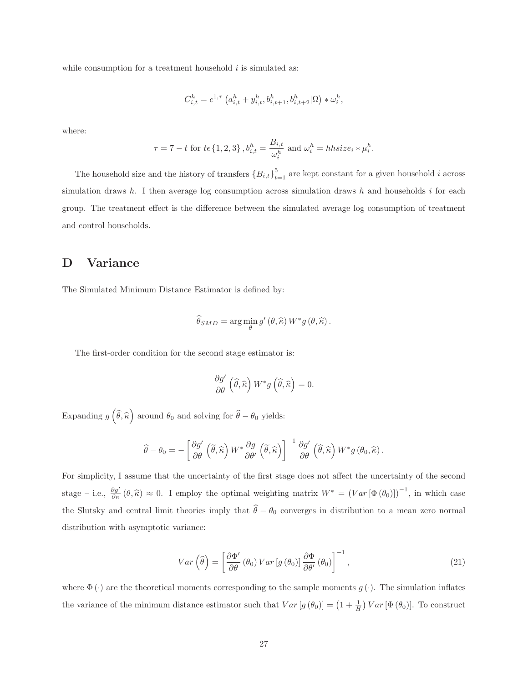while consumption for a treatment household  $i$  is simulated as:

$$
C_{i,t}^h = c^{1,\tau} \left( a_{i,t}^h + y_{i,t}^h, b_{i,t+1}^h, b_{i,t+2}^h | \Omega \right) * \omega_i^h,
$$

where:

$$
\tau = 7 - t \text{ for } t \in \{1, 2, 3\}, b_{i,t}^h = \frac{B_{i,t}}{\omega_i^h} \text{ and } \omega_i^h = \text{hbsize}_i * \mu_i^h.
$$

The household size and the history of transfers  ${B_{i,t}}_{t=1}^5$  are kept constant for a given household i across simulation draws h. I then average log consumption across simulation draws h and households i for each group. The treatment effect is the difference between the simulated average log consumption of treatment and control households.

## **D Variance**

The Simulated Minimum Distance Estimator is defined by:

$$
\widehat{\theta}_{SMD} = \arg\min_{\theta} g'(\theta, \widehat{\kappa}) W^* g(\theta, \widehat{\kappa}).
$$

The first-order condition for the second stage estimator is:

$$
\frac{\partial g'}{\partial \theta} \left( \widehat{\theta}, \widehat{\kappa} \right) W^* g \left( \widehat{\theta}, \widehat{\kappa} \right) = 0.
$$

Expanding  $g\left(\right)$  $\theta, \kappa$ ) around  $\theta_0$  and solving for  $\widehat{\theta} - \theta_0$  yields:

$$
\widehat{\theta} - \theta_0 = -\left[\frac{\partial g'}{\partial \theta}\left(\widetilde{\theta}, \widehat{\kappa}\right) W^* \frac{\partial g}{\partial \theta'}\left(\widetilde{\theta}, \widehat{\kappa}\right)\right]^{-1} \frac{\partial g'}{\partial \theta}\left(\widehat{\theta}, \widehat{\kappa}\right) W^* g\left(\theta_0, \widehat{\kappa}\right).
$$

For simplicity, I assume that the uncertainty of the first stage does not affect the uncertainty of the second stage – i.e.,  $\frac{\partial g'}{\partial \kappa}(\theta, \hat{\kappa}) \approx 0$ . I employ the optimal weighting matrix  $W^* = (Var[\Phi(\theta_0)])^{-1}$ , in which case the Slutsky and central limit theories imply that  $\theta - \theta_0$  converges in distribution to a mean zero normal distribution with asymptotic variance:

$$
Var\left(\widehat{\theta}\right) = \left[\frac{\partial \Phi'}{\partial \theta} \left(\theta_0\right) Var\left[g\left(\theta_0\right)\right] \frac{\partial \Phi}{\partial \theta'}\left(\theta_0\right)\right]^{-1},\tag{21}
$$

where  $\Phi(\cdot)$  are the theoretical moments corresponding to the sample moments  $g(\cdot)$ . The simulation inflates the variance of the minimum distance estimator such that  $Var[g(\theta_0)] = (1 + \frac{1}{H})$  $\int Var\left[\Phi\left(\theta_{0}\right)\right]$ . To construct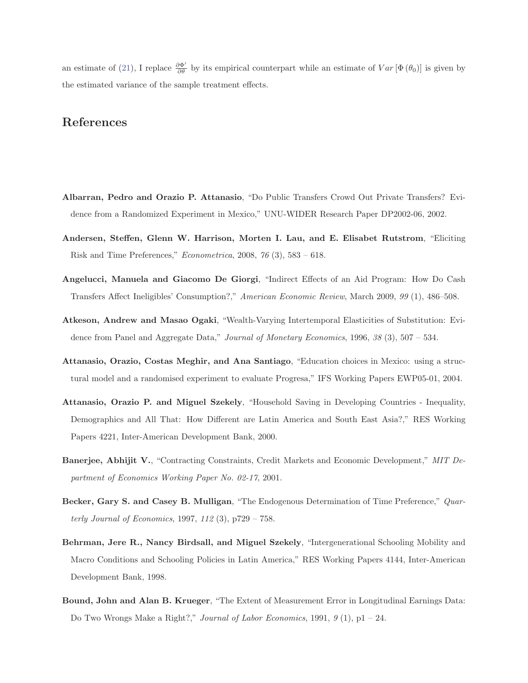an estimate of (21), I replace  $\frac{\partial \Phi'}{\partial \theta}$  by its empirical counterpart while an estimate of  $Var[\Phi(\theta_0)]$  is given by the estimated variance of the sample treatment effects.

## **References**

- **Albarran, Pedro and Orazio P. Attanasio**, "Do Public Transfers Crowd Out Private Transfers? Evidence from a Randomized Experiment in Mexico," UNU-WIDER Research Paper DP2002-06, 2002.
- **Andersen, Steffen, Glenn W. Harrison, Morten I. Lau, and E. Elisabet Rutstrom**, "Eliciting Risk and Time Preferences," Econometrica, 2008, 76 (3), 583 – 618.
- **Angelucci, Manuela and Giacomo De Giorgi**, "Indirect Effects of an Aid Program: How Do Cash Transfers Affect Ineligibles' Consumption?," American Economic Review, March 2009, 99 (1), 486–508.
- **Atkeson, Andrew and Masao Ogaki**, "Wealth-Varying Intertemporal Elasticities of Substitution: Evidence from Panel and Aggregate Data," Journal of Monetary Economics, 1996, 38 (3), 507 – 534.
- **Attanasio, Orazio, Costas Meghir, and Ana Santiago**, "Education choices in Mexico: using a structural model and a randomised experiment to evaluate Progresa," IFS Working Papers EWP05-01, 2004.
- **Attanasio, Orazio P. and Miguel Szekely**, "Household Saving in Developing Countries Inequality, Demographics and All That: How Different are Latin America and South East Asia?," RES Working Papers 4221, Inter-American Development Bank, 2000.
- **Banerjee, Abhijit V.**, "Contracting Constraints, Credit Markets and Economic Development," MIT Department of Economics Working Paper No. 02-17, 2001.
- **Becker, Gary S. and Casey B. Mulligan**, "The Endogenous Determination of Time Preference," Quarterly Journal of Economics, 1997, 112 (3), p729 – 758.
- **Behrman, Jere R., Nancy Birdsall, and Miguel Szekely**, "Intergenerational Schooling Mobility and Macro Conditions and Schooling Policies in Latin America," RES Working Papers 4144, Inter-American Development Bank, 1998.
- **Bound, John and Alan B. Krueger**, "The Extent of Measurement Error in Longitudinal Earnings Data: Do Two Wrongs Make a Right?," Journal of Labor Economics, 1991,  $9(1)$ , p1 – 24.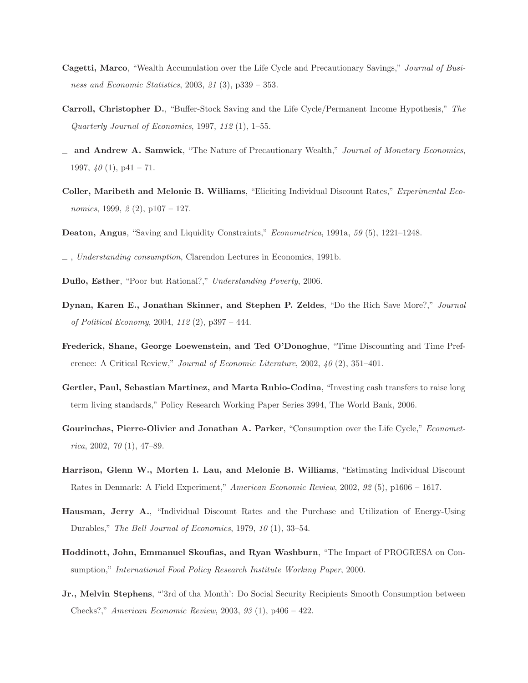- **Cagetti, Marco**, "Wealth Accumulation over the Life Cycle and Precautionary Savings," Journal of Business and Economic Statistics, 2003, 21 (3), p339 – 353.
- **Carroll, Christopher D.**, "Buffer-Stock Saving and the Life Cycle/Permanent Income Hypothesis," The Quarterly Journal of Economics, 1997, 112 (1), 1–55.
- **and Andrew A. Samwick**, "The Nature of Precautionary Wealth," Journal of Monetary Economics, 1997,  $40(1)$ , p41 – 71.
- **Coller, Maribeth and Melonie B. Williams**, "Eliciting Individual Discount Rates," Experimental Economics, 1999,  $2(2)$ , p107 – 127.
- **Deaton, Angus**, "Saving and Liquidity Constraints," Econometrica, 1991a, 59 (5), 1221–1248.
- $\Box$ , Understanding consumption, Clarendon Lectures in Economics, 1991b.
- **Duflo, Esther**, "Poor but Rational?," Understanding Poverty, 2006.
- **Dynan, Karen E., Jonathan Skinner, and Stephen P. Zeldes**, "Do the Rich Save More?," Journal of Political Economy, 2004, 112 (2), p397 – 444.
- **Frederick, Shane, George Loewenstein, and Ted O'Donoghue**, "Time Discounting and Time Preference: A Critical Review," Journal of Economic Literature, 2002,  $40$  (2), 351–401.
- **Gertler, Paul, Sebastian Martinez, and Marta Rubio-Codina**, "Investing cash transfers to raise long term living standards," Policy Research Working Paper Series 3994, The World Bank, 2006.
- **Gourinchas, Pierre-Olivier and Jonathan A. Parker**, "Consumption over the Life Cycle," Economet $rica, 2002, 70 (1), 47-89.$
- **Harrison, Glenn W., Morten I. Lau, and Melonie B. Williams**, "Estimating Individual Discount Rates in Denmark: A Field Experiment," American Economic Review, 2002, 92 (5), p1606 – 1617.
- **Hausman, Jerry A.**, "Individual Discount Rates and the Purchase and Utilization of Energy-Using Durables," The Bell Journal of Economics, 1979, 10 (1), 33–54.
- **Hoddinott, John, Emmanuel Skoufias, and Ryan Washburn**, "The Impact of PROGRESA on Consumption," International Food Policy Research Institute Working Paper, 2000.
- **Jr., Melvin Stephens**, "3rd of tha Month': Do Social Security Recipients Smooth Consumption between Checks?," American Economic Review, 2003, 93 (1), p406 – 422.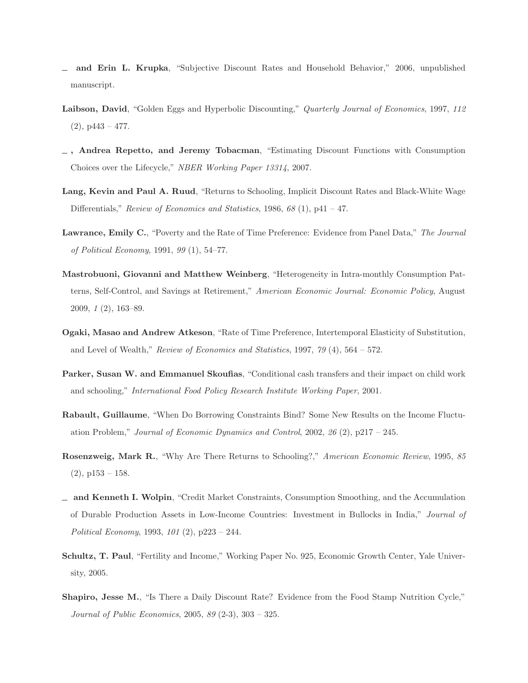- **and Erin L. Krupka**, "Subjective Discount Rates and Household Behavior," 2006, unpublished manuscript.
- Laibson, David, "Golden Eggs and Hyperbolic Discounting," Quarterly Journal of Economics, 1997, 112  $(2)$ , p443 – 477.
- **, Andrea Repetto, and Jeremy Tobacman**, "Estimating Discount Functions with Consumption Choices over the Lifecycle," NBER Working Paper 13314, 2007.
- **Lang, Kevin and Paul A. Ruud**, "Returns to Schooling, Implicit Discount Rates and Black-White Wage Differentials," Review of Economics and Statistics, 1986, 68 (1), p41 – 47.
- **Lawrance, Emily C.**, "Poverty and the Rate of Time Preference: Evidence from Panel Data," The Journal of Political Economy, 1991, 99 (1), 54–77.
- **Mastrobuoni, Giovanni and Matthew Weinberg**, "Heterogeneity in Intra-monthly Consumption Patterns, Self-Control, and Savings at Retirement," American Economic Journal: Economic Policy, August 2009, 1 (2), 163–89.
- **Ogaki, Masao and Andrew Atkeson**, "Rate of Time Preference, Intertemporal Elasticity of Substitution, and Level of Wealth," Review of Economics and Statistics, 1997, 79 (4),  $564 - 572$ .
- **Parker, Susan W. and Emmanuel Skoufias**, "Conditional cash transfers and their impact on child work and schooling," International Food Policy Research Institute Working Paper, 2001.
- **Rabault, Guillaume**, "When Do Borrowing Constraints Bind? Some New Results on the Income Fluctuation Problem," Journal of Economic Dynamics and Control, 2002,  $\mathcal{26}(2)$ , p217 – 245.
- **Rosenzweig, Mark R.**, "Why Are There Returns to Schooling?," American Economic Review, 1995, 85  $(2)$ , p153 – 158.
- **and Kenneth I. Wolpin**, "Credit Market Constraints, Consumption Smoothing, and the Accumulation of Durable Production Assets in Low-Income Countries: Investment in Bullocks in India," Journal of Political Economy, 1993, 101 (2), p223 – 244.
- **Schultz, T. Paul**, "Fertility and Income," Working Paper No. 925, Economic Growth Center, Yale University, 2005.
- **Shapiro, Jesse M.**, "Is There a Daily Discount Rate? Evidence from the Food Stamp Nutrition Cycle," Journal of Public Economics, 2005, 89 (2-3), 303 – 325.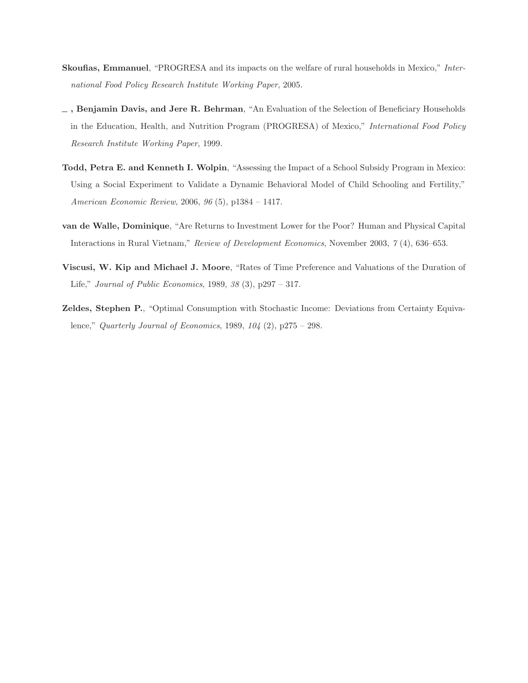- **Skoufias, Emmanuel**, "PROGRESA and its impacts on the welfare of rural households in Mexico," International Food Policy Research Institute Working Paper, 2005.
- **, Benjamin Davis, and Jere R. Behrman**, "An Evaluation of the Selection of Beneficiary Households in the Education, Health, and Nutrition Program (PROGRESA) of Mexico," *International Food Policy* Research Institute Working Paper, 1999.
- **Todd, Petra E. and Kenneth I. Wolpin**, "Assessing the Impact of a School Subsidy Program in Mexico: Using a Social Experiment to Validate a Dynamic Behavioral Model of Child Schooling and Fertility," American Economic Review, 2006, 96 (5), p1384 – 1417.
- **van de Walle, Dominique**, "Are Returns to Investment Lower for the Poor? Human and Physical Capital Interactions in Rural Vietnam," Review of Development Economics, November 2003, 7 (4), 636–653.
- **Viscusi, W. Kip and Michael J. Moore**, "Rates of Time Preference and Valuations of the Duration of Life," Journal of Public Economics, 1989, 38 (3), p297 – 317.
- **Zeldes, Stephen P.**, "Optimal Consumption with Stochastic Income: Deviations from Certainty Equivalence," Quarterly Journal of Economics, 1989, 104 (2), p275 – 298.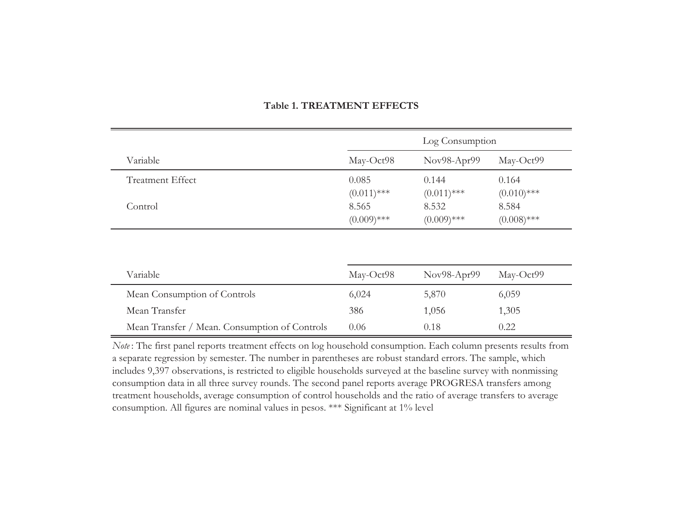|                                               |                                                  | Log Consumption                                  |                                                  |  |  |
|-----------------------------------------------|--------------------------------------------------|--------------------------------------------------|--------------------------------------------------|--|--|
| Variable                                      | May-Oct98                                        | Nov98-Apr99                                      | May-Oct99                                        |  |  |
| <b>Treatment Effect</b><br>Control            | 0.085<br>$(0.011)$ ***<br>8.565<br>$(0.009)$ *** | 0.144<br>$(0.011)$ ***<br>8.532<br>$(0.009)$ *** | 0.164<br>$(0.010)$ ***<br>8.584<br>$(0.008)$ *** |  |  |
| Variable                                      | May-Oct98                                        | Nov98-Apr99                                      | May-Oct99                                        |  |  |
| Mean Consumption of Controls                  | 6,024                                            | 5,870                                            | 6,059                                            |  |  |
| Mean Transfer                                 | 386                                              | 1,056                                            | 1,305                                            |  |  |
| Mean Transfer / Mean. Consumption of Controls | 0.06                                             | 0.18                                             | 0.22                                             |  |  |

#### **Table 1. TREATMENT EFFECTS**

*Note* : The first panel reports treatment effects on log household consumption. Each column presents results from a separate regression by semester. The number in parentheses are robust standard errors. The sample, which includes 9,397 observations, is restricted to eligible households surveyed at the baseline survey with nonmissing consumption data in all three survey rounds. The second panel reports average PROGRESA transfers among treatment households, average consumption of control households and the ratio of average transfers to average consumption. All figures are nominal values in pesos. \*\*\* Significant at 1% level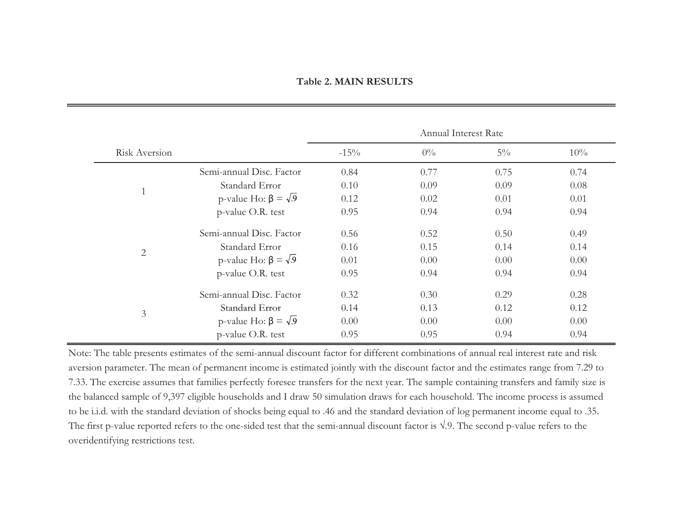|                   |                                 | Annual Interest Rate |       |       |      |  |
|-------------------|---------------------------------|----------------------|-------|-------|------|--|
| Risk Aversion     |                                 | $-15%$               | $0\%$ | $5\%$ | 10%  |  |
|                   | Semi-annual Disc. Factor        | 0.84                 | 0.77  | 0.75  | 0.74 |  |
| $\mathbf{1}$      | Standard Error                  | 0.10                 | 0.09  | 0.09  | 0.08 |  |
|                   | p-value Ho: $\beta = \sqrt{.9}$ | 0.12                 | 0.02  | 0.01  | 0.01 |  |
|                   | p-value O.R. test               | 0.95                 | 0.94  | 0.94  | 0.94 |  |
|                   | Semi-annual Disc. Factor        | 0.56                 | 0.52  | 0.50  | 0.49 |  |
| $\mathbf{2}$      | Standard Error                  | 0.16                 | 0.15  | 0.14  | 0.14 |  |
|                   | p-value Ho: $\beta = \sqrt{.9}$ | 0.01                 | 0.00  | 0.00  | 0.00 |  |
| p-value O.R. test |                                 | 0.95                 | 0.94  | 0.94  | 0.94 |  |
| $\mathfrak{Z}$    | Semi-annual Disc. Factor        | 0.32                 | 0.30  | 0.29  | 0.28 |  |
|                   | Standard Error                  | 0.14                 | 0.13  | 0.12  | 0.12 |  |
|                   | p-value Ho: $\beta = \sqrt{.9}$ | 0.00                 | 0.00  | 0.00  | 0.00 |  |
|                   | p-value O.R. test               | 0.95                 | 0.95  | 0.94  | 0.94 |  |

Note: The table presents estimates of the semi-annual discount factor for different combinations of annual real interest rate and risk aversion parameter. The mean of permanent income is estimated jointly with the discount factor and the estimates range from 7.29 to 7.33. The exercise assumes that families perfectly foresee transfers for the next year. The sample containing transfers and family size is the balanced sample of 9,397 eligible households and I draw 50 simulation draws for each household. The income process is assumed to be i.i.d. with the standard deviation of shocks being equal to .46 and the standard deviation of log permanent income equal to .35. The first p-value reported refers to the one-sided test that the semi-annual discount factor is  $\sqrt{.9}$ . The second p-value refers to the overidentifying restrictions test.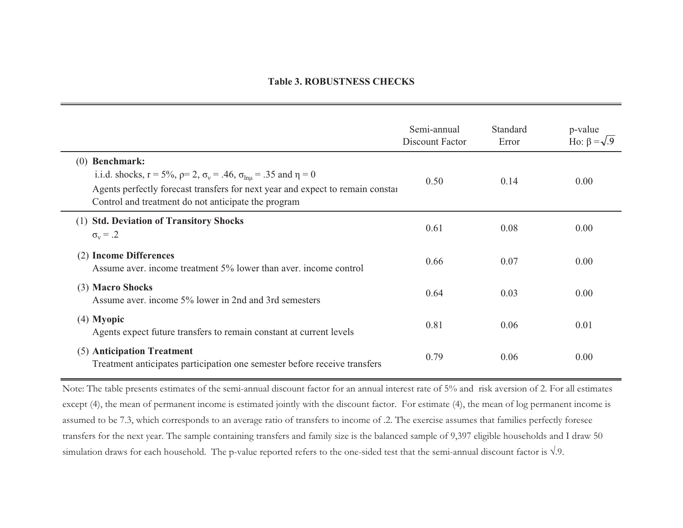#### **Table 3. ROBUSTNESS CHECKS**

|                                                                                                                                                                                                                                                                            | Semi-annual<br>Discount Factor | Standard<br>Error | p-value<br>Ho: $\beta = \sqrt{.9}$ |
|----------------------------------------------------------------------------------------------------------------------------------------------------------------------------------------------------------------------------------------------------------------------------|--------------------------------|-------------------|------------------------------------|
| <b>Benchmark:</b><br>(0)<br>i.i.d. shocks, $r = 5\%$ , $\rho = 2$ , $\sigma_v = .46$ , $\sigma_{\text{lnu}} = .35$ and $\eta = 0$<br>Agents perfectly forecast transfers for next year and expect to remain constal<br>Control and treatment do not anticipate the program | 0.50                           | 0.14              | 0.00                               |
| <b>Std. Deviation of Transitory Shocks</b><br>(1)<br>$\sigma_v = .2$                                                                                                                                                                                                       | 0.61                           | 0.08              | 0.00                               |
| <b>Income Differences</b><br>(2)<br>Assume aver, income treatment 5% lower than aver, income control                                                                                                                                                                       | 0.66                           | 0.07              | 0.00                               |
| (3) Macro Shocks<br>Assume aver. income 5% lower in 2nd and 3rd semesters                                                                                                                                                                                                  | 0.64                           | 0.03              | 0.00                               |
| $(4)$ Myopic<br>Agents expect future transfers to remain constant at current levels                                                                                                                                                                                        | 0.81                           | 0.06              | 0.01                               |
| (5) Anticipation Treatment<br>Treatment anticipates participation one semester before receive transfers                                                                                                                                                                    | 0.79                           | 0.06              | 0.00                               |

Note: The table presents estimates of the semi-annual discount factor for an annual interest rate of 5% and risk aversion of 2. For all estimates except (4), the mean of permanent income is estimated jointly with the discount factor. For estimate (4), the mean of log permanent income is assumed to be 7.3, which corresponds to an average ratio of transfers to income of .2. The exercise assumes that families perfectly foresee transfers for the next year. The sample containing transfers and family size is the balanced sample of 9,397 eligible households and I draw 50 simulation draws for each household. The p-value reported refers to the one-sided test that the semi-annual discount factor is  $\sqrt{.}9.$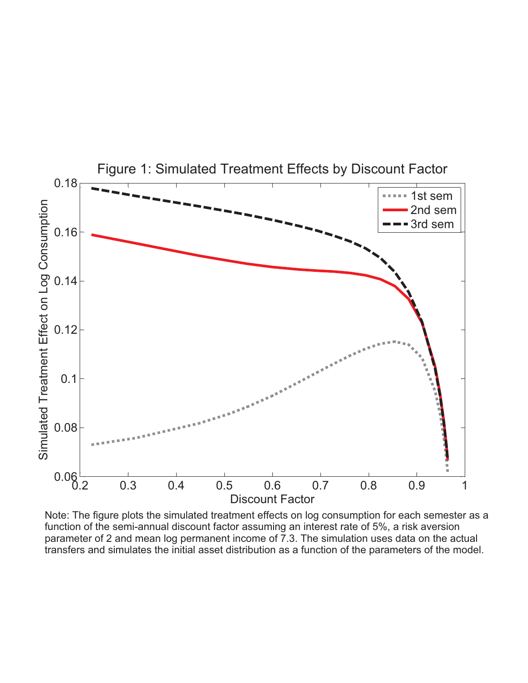

Note: The figure plots the simulated treatment effects on log consumption for each semester as a function of the semi-annual discount factor assuming an interest rate of 5%, a risk aversion parameter of 2 and mean log permanent income of 7.3. The simulation uses data on the actual transfers and simulates the initial asset distribution as a function of the parameters of the model.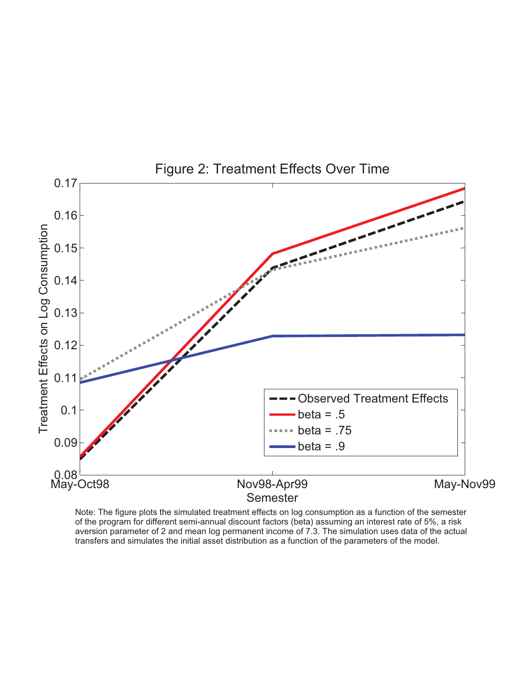

Note: The figure plots the simulated treatment effects on log consumption as a function of the semester of the program for different semi-annual discount factors (beta) assuming an interest rate of 5%, a risk aversion parameter of 2 and mean log permanent income of 7.3. The simulation uses data of the actual transfers and simulates the initial asset distribution as a function of the parameters of the model.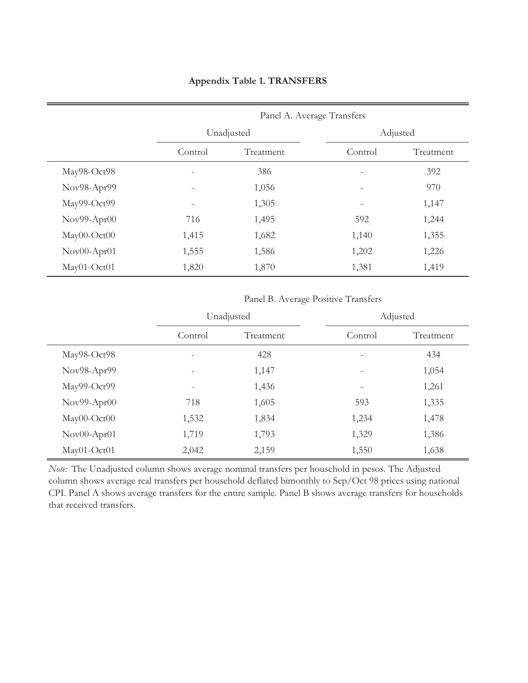## **Appendix Table 1. TRANSFERS**

|             | Panel A. Average Transfers |            |                          |           |  |  |
|-------------|----------------------------|------------|--------------------------|-----------|--|--|
|             |                            | Unadjusted |                          | Adjusted  |  |  |
|             | Control                    | Treatment  | Control                  | Treatment |  |  |
| May98-Oct98 |                            | 386        |                          | 392       |  |  |
| Nov98-Apr99 | ۰                          | 1,056      | $\overline{\phantom{0}}$ | 970       |  |  |
| May99-Oct99 | ٠                          | 1,305      | -                        | 1,147     |  |  |
| Nov99-Apr00 | 716                        | 1,495      | 592                      | 1,244     |  |  |
| May00-Oct00 | 1,415                      | 1,682      | 1,140                    | 1,355     |  |  |
| Nov00-Apr01 | 1,555                      | 1,586      | 1,202                    | 1,226     |  |  |
| May01-Oct01 | 1,820                      | 1,870      | 1,381                    | 1,419     |  |  |

Panel B. Average Positive Transfers

|             | Unadjusted |           | Adjusted                 |           |  |
|-------------|------------|-----------|--------------------------|-----------|--|
|             | Control    | Treatment | Control                  | Treatment |  |
| May98-Oct98 |            | 428       | $\overline{\phantom{a}}$ | 434       |  |
| Nov98-Apr99 |            | 1,147     | $\overline{\phantom{m}}$ | 1,054     |  |
| May99-Oct99 |            | 1,436     | -                        | 1,261     |  |
| Nov99-Apr00 | 718        | 1,605     | 593                      | 1,335     |  |
| May00-Oct00 | 1,532      | 1,834     | 1,234                    | 1,478     |  |
| Nov00-Apr01 | 1,719      | 1,793     | 1,329                    | 1,386     |  |
| May01-Oct01 | 2,042      | 2,159     | 1,550                    | 1,638     |  |

*Note:* The Unadjusted column shows average nominal transfers per household in pesos. The Adjusted column shows average real transfers per household deflated bimonthly to Sep/Oct 98 prices using national CPI. Panel A shows average transfers for the entire sample. Panel B shows average transfers for households that received transfers.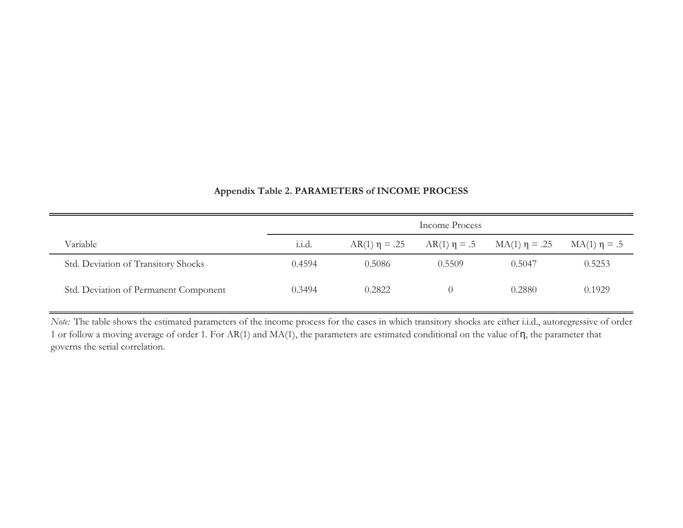|                                       | Income Process |                    |        |                                      |                   |
|---------------------------------------|----------------|--------------------|--------|--------------------------------------|-------------------|
| Variable                              | 1.1.d.         | $AR(1) \eta = .25$ |        | $AR(1) \eta = .5$ $MA(1) \eta = .25$ | $MA(1) \eta = .5$ |
| Std. Deviation of Transitory Shocks   | 0.4594         | 0.5086             | 0.5509 | 0.5047                               | 0.5253            |
| Std. Deviation of Permanent Component | 0.3494         | 0.2822             |        | 0.2880                               | 0.1929            |

### **Appendix Table 2. PARAMETERS of INCOME PROCESS**

*Note:* The table shows the estimated parameters of the income process for the cases in which transitory shocks are either i.i.d., autoregressive of order 1 or follow a moving average of order 1. For AR(1) and MA(1), the parameters are estimated conditional on the value of  $\eta$ , the parameter that governs the serial correlation.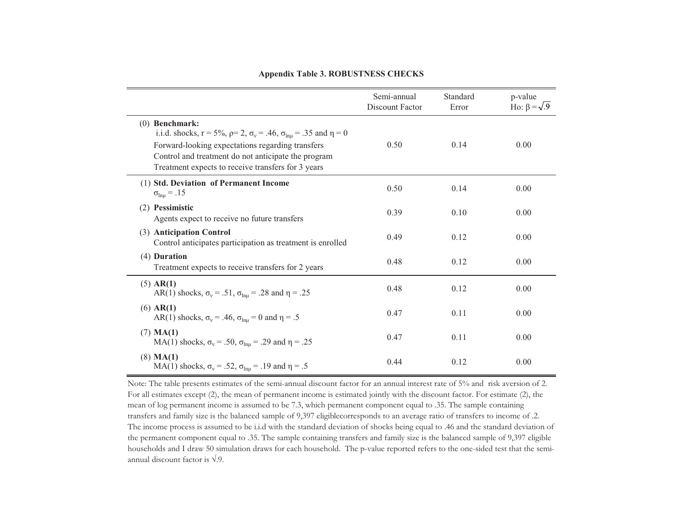|                                                                                                                                                                                                                                                                                            | Semi-annual<br>Discount Factor | Standard<br>Error | p-value<br>Ho: $\beta = \sqrt{.9}$ |
|--------------------------------------------------------------------------------------------------------------------------------------------------------------------------------------------------------------------------------------------------------------------------------------------|--------------------------------|-------------------|------------------------------------|
| $(0)$ Benchmark:<br>i.i.d. shocks, $r = 5\%$ , $\rho = 2$ , $\sigma_v = .46$ , $\sigma_{\text{lnu}} = .35$ and $\eta = 0$<br>Forward-looking expectations regarding transfers<br>Control and treatment do not anticipate the program<br>Treatment expects to receive transfers for 3 years | 0.50                           | 0.14              | 0.00                               |
| (1) Std. Deviation of Permanent Income<br>$\sigma_{ln\mu} = .15$                                                                                                                                                                                                                           | 0.50                           | 0.14              | 0.00                               |
| (2) Pessimistic<br>Agents expect to receive no future transfers                                                                                                                                                                                                                            | 0.39                           | 0.10              | 0.00                               |
| (3) Anticipation Control<br>Control anticipates participation as treatment is enrolled                                                                                                                                                                                                     | 0.49                           | 0.12              | 0.00                               |
| (4) Duration<br>Treatment expects to receive transfers for 2 years                                                                                                                                                                                                                         | 0.48                           | 0.12              | 0.00                               |
| (5) AR(1)<br>AR(1) shocks, $\sigma_v = .51$ , $\sigma_{\text{lnu}} = .28$ and $\eta = .25$                                                                                                                                                                                                 | 0.48                           | 0.12              | 0.00                               |
| $(6)$ AR(1)<br>AR(1) shocks, $\sigma_v$ = .46, $\sigma_{ln\mu}$ = 0 and $\eta$ = .5                                                                                                                                                                                                        | 0.47                           | 0.11              | 0.00                               |
| $(7)$ MA(1)<br>MA(1) shocks, $\sigma_v = .50$ , $\sigma_{ln\mu} = .29$ and $\eta = .25$                                                                                                                                                                                                    | 0.47                           | 0.11              | 0.00                               |
| $(8)$ MA(1)<br>MA(1) shocks, $\sigma_v = .52$ , $\sigma_{lnu} = .19$ and $\eta = .5$                                                                                                                                                                                                       | 0.44                           | 0.12              | 0.00                               |

#### **Appendix Table 3. ROBUSTNESS CHECKS**

Note: The table presents estimates of the semi-annual discount factor for an annual interest rate of 5% and risk aversion of 2. For all estimates except (2), the mean of permanent income is estimated jointly with the discount factor. For estimate (2), the mean of log permanent income is assumed to be 7.3, which permanent component equal to .35. The sample containing transfers and family size is the balanced sample of 9,397 eligiblecorresponds to an average ratio of transfers to income of .2. The income process is assumed to be i.i.d with the standard deviation of shocks being equal to .46 and the standard deviation of the permanent component equal to .35. The sample containing transfers and family size is the balanced sample of 9,397 eligible households and I draw 50 simulation draws for each household. The p-value reported refers to the one-sided test that the semiannual discount factor is  $\sqrt{.9}$ .